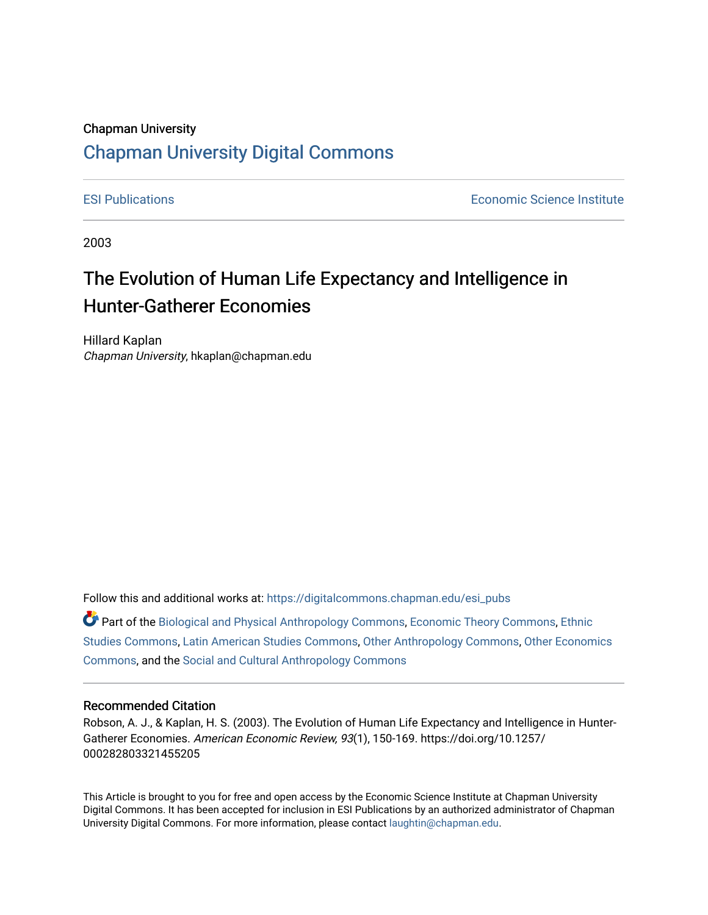# Chapman University [Chapman University Digital Commons](https://digitalcommons.chapman.edu/)

[ESI Publications](https://digitalcommons.chapman.edu/esi_pubs) [Economic Science Institute](https://digitalcommons.chapman.edu/esi) 

2003

# The Evolution of Human Life Expectancy and Intelligence in Hunter-Gatherer Economies

Hillard Kaplan Chapman University, hkaplan@chapman.edu

Follow this and additional works at: [https://digitalcommons.chapman.edu/esi\\_pubs](https://digitalcommons.chapman.edu/esi_pubs?utm_source=digitalcommons.chapman.edu%2Fesi_pubs%2F189&utm_medium=PDF&utm_campaign=PDFCoverPages) 

Part of the [Biological and Physical Anthropology Commons](http://network.bepress.com/hgg/discipline/320?utm_source=digitalcommons.chapman.edu%2Fesi_pubs%2F189&utm_medium=PDF&utm_campaign=PDFCoverPages), [Economic Theory Commons,](http://network.bepress.com/hgg/discipline/344?utm_source=digitalcommons.chapman.edu%2Fesi_pubs%2F189&utm_medium=PDF&utm_campaign=PDFCoverPages) [Ethnic](http://network.bepress.com/hgg/discipline/570?utm_source=digitalcommons.chapman.edu%2Fesi_pubs%2F189&utm_medium=PDF&utm_campaign=PDFCoverPages)  [Studies Commons,](http://network.bepress.com/hgg/discipline/570?utm_source=digitalcommons.chapman.edu%2Fesi_pubs%2F189&utm_medium=PDF&utm_campaign=PDFCoverPages) [Latin American Studies Commons,](http://network.bepress.com/hgg/discipline/363?utm_source=digitalcommons.chapman.edu%2Fesi_pubs%2F189&utm_medium=PDF&utm_campaign=PDFCoverPages) [Other Anthropology Commons](http://network.bepress.com/hgg/discipline/324?utm_source=digitalcommons.chapman.edu%2Fesi_pubs%2F189&utm_medium=PDF&utm_campaign=PDFCoverPages), [Other Economics](http://network.bepress.com/hgg/discipline/353?utm_source=digitalcommons.chapman.edu%2Fesi_pubs%2F189&utm_medium=PDF&utm_campaign=PDFCoverPages)  [Commons](http://network.bepress.com/hgg/discipline/353?utm_source=digitalcommons.chapman.edu%2Fesi_pubs%2F189&utm_medium=PDF&utm_campaign=PDFCoverPages), and the [Social and Cultural Anthropology Commons](http://network.bepress.com/hgg/discipline/323?utm_source=digitalcommons.chapman.edu%2Fesi_pubs%2F189&utm_medium=PDF&utm_campaign=PDFCoverPages) 

### Recommended Citation

Robson, A. J., & Kaplan, H. S. (2003). The Evolution of Human Life Expectancy and Intelligence in Hunter-Gatherer Economies. American Economic Review, 93(1), 150-169. https://doi.org/10.1257/ 000282803321455205

This Article is brought to you for free and open access by the Economic Science Institute at Chapman University Digital Commons. It has been accepted for inclusion in ESI Publications by an authorized administrator of Chapman University Digital Commons. For more information, please contact [laughtin@chapman.edu.](mailto:laughtin@chapman.edu)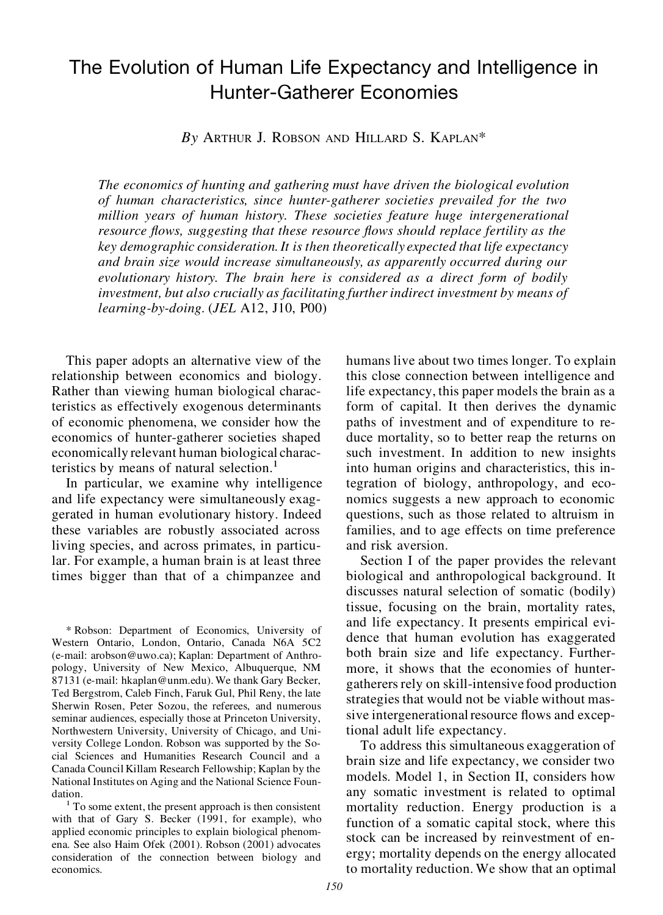## The Evolution of Human Life Expectancy and Intelligence in Hunter-Gatherer Economies

*By* ARTHUR J. ROBSON AND HILLARD S. KAPLAN\*

*The economics of hunting and gathering must have driven the biological evolution of human characteristics, since hunter-gatherer societies prevailed for the two million years of human history. These societies feature huge intergenerational resource* flows, suggesting that these resource flows should replace fertility as the *key demographic consideration.It is then theoretically expected that life expectancy and brain size would increase simultaneously, as apparently occurred during our evolutionary history. The brain here is considered as a direct form of bodily investment, but also crucially as facilitating further indirect investment by means of learning-by-doing.* (*JEL* A12, J10, P00)

This paper adopts an alternative view of the relationship between economics and biology. Rather than viewing human biological characteristics as effectively exogenous determinants of economic phenomena, we consider how the economics of hunter-gatherer societies shaped economically relevant human biological characteristics by means of natural selection.<sup>1</sup>

In particular, we examine why intelligence and life expectancy were simultaneously exaggerated in human evolutionary history. Indeed these variables are robustly associated across living species, and across primates, in particular. For example, a human brain is at least three times bigger than that of a chimpanzee and

\* Robson: Department of Economics, University of Western Ontario, London, Ontario, Canada N6A 5C2 (e-mail: arobson@uwo.ca); Kaplan: Department of Anthropology, University of New Mexico, Albuquerque, NM 87131 (e-mail: hkaplan@unm.edu). We thank Gary Becker, Ted Bergstrom, Caleb Finch, Faruk Gul, Phil Reny, the late Sherwin Rosen, Peter Sozou, the referees, and numerous seminar audiences, especially those at Princeton University, Northwestern University, University of Chicago, and University College London. Robson was supported by the Social Sciences and Humanities Research Council and a Canada Council Killam Research Fellowship; Kaplan by the National Institutes on Aging and the National Science Foundation. <sup>1</sup> To some extent, the present approach is then consistent

with that of Gary S. Becker (1991, for example), who applied economic principles to explain biological phenom ena. See also Haim Ofek (2001). Robson (2001) advocates consideration of the connection between biology and economics.

humans live about two times longer. To explain this close connection between intelligence and life expectancy, this paper models the brain as a form of capital. It then derives the dynamic paths of investment and of expenditure to reduce mortality, so to better reap the returns on such investment. In addition to new insights into human origins and characteristics, this integration of biology, anthropology, and economics suggests a new approach to economic questions, such as those related to altruism in families, and to age effects on time preference and risk aversion.

Section I of the paper provides the relevant biological and anthropological background. It discusses natural selection of somatic (bodily) tissue, focusing on the brain, mortality rates, and life expectancy. It presents empirical evidence that human evolution has exaggerated both brain size and life expectancy. Furthermore, it shows that the economies of huntergatherers rely on skill-intensive food production strategies that would not be viable without massive intergenerational resource flows and exceptional adult life expectancy.

To address this simultaneous exaggeration of brain size and life expectancy, we consider two models. Model 1, in Section II, considers how any somatic investment is related to optimal mortality reduction. Energy production is a function of a somatic capital stock, where this stock can be increased by reinvestment of energy; mortality depends on the energy allocated to mortality reduction. We show that an optimal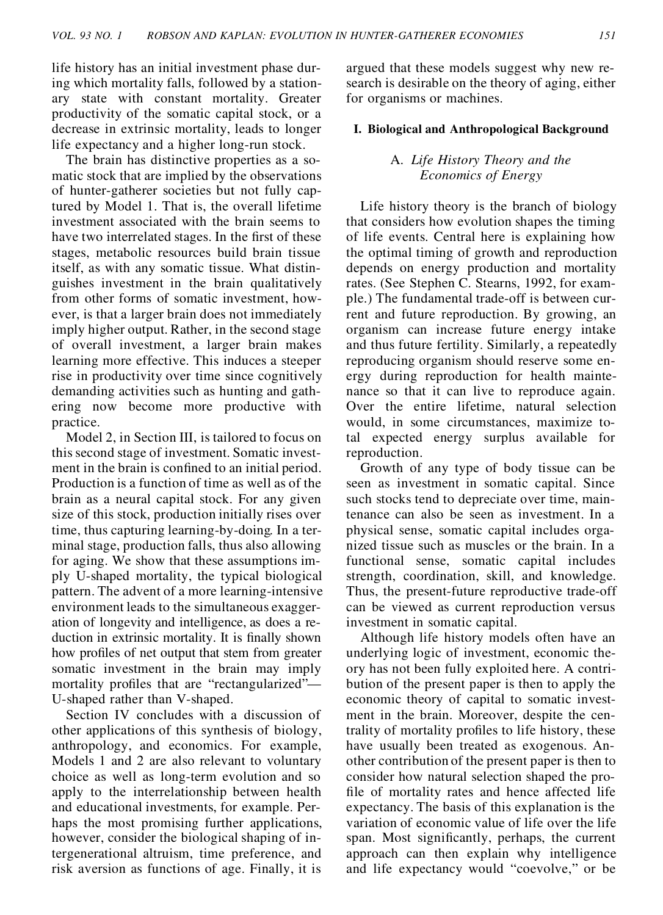life history has an initial investment phase during which mortality falls, followed by a stationary state with constant mortality. Greater productivity of the somatic capital stock, or a decrease in extrinsic mortality, leads to longer life expectancy and a higher long-run stock.

The brain has distinctive properties as a somatic stock that are implied by the observations of hunter-gatherer societies but not fully captured by Model 1. That is, the overall lifetime investment associated with the brain seems to have two interrelated stages. In the first of these stages, metabolic resources build brain tissue itself, as with any somatic tissue. What distinguishes investment in the brain qualitatively from other forms of somatic investment, however, is that a larger brain does not immediately imply higher output. Rather, in the second stage of overall investment, a larger brain makes learning more effective. This induces a steeper rise in productivity over time since cognitively demanding activities such as hunting and gathering now become more productive with practice.

Model 2, in Section III, is tailored to focus on thissecond stage of investment. Somatic investment in the brain is confined to an initial period. Production is a function of time as well as of the brain as a neural capital stock. For any given size of this stock, production initially rises over time, thus capturing learning-by-doing. In a terminal stage, production falls, thus also allowing for aging. We show that these assumptions imply U-shaped mortality, the typical biological pattern. The advent of a more learning-intensive environment leads to the simultaneous exaggeration of longevity and intelligence, as does a reduction in extrinsic mortality. It is finally shown how profiles of net output that stem from greater somatic investment in the brain may imply mortality profiles that are "rectangularized"-U-shaped rather than V-shaped.

Section IV concludes with a discussion of other applications of this synthesis of biology, anthropology, and economics. For example, Models 1 and 2 are also relevant to voluntary choice as well as long-term evolution and so apply to the interrelationship between health and educational investments, for example. Perhaps the most promising further applications, however, consider the biological shaping of intergenerational altruism, time preference, and risk aversion as functions of age. Finally, it is argued that these models suggest why new research is desirable on the theory of aging, either for organisms or machines.

#### **I. Biological and Anthropological Background**

#### A. *Life History Theory and the Economics of Energy*

Life history theory is the branch of biology that considers how evolution shapes the timing of life events. Central here is explaining how the optimal timing of growth and reproduction depends on energy production and mortality rates. (See Stephen C. Stearns, 1992, for example.) The fundamental trade-off is between current and future reproduction. By growing, an organism can increase future energy intake and thus future fertility. Similarly, a repeatedly reproducing organism should reserve some energy during reproduction for health maintenance so that it can live to reproduce again. Over the entire lifetime, natural selection would, in some circumstances, maximize total expected energy surplus available for reproduction.

Growth of any type of body tissue can be seen as investment in somatic capital. Since such stocks tend to depreciate over time, maintenance can also be seen as investment. In a physical sense, somatic capital includes organized tissue such as muscles or the brain. In a functional sense, somatic capital includes strength, coordination, skill, and knowledge. Thus, the present-future reproductive trade-off can be viewed as current reproduction versus investment in somatic capital.

Although life history models often have an underlying logic of investment, economic theory has not been fully exploited here. A contribution of the present paper is then to apply the economic theory of capital to somatic investment in the brain. Moreover, despite the centrality of mortality profiles to life history, these have usually been treated as exogenous. Another contribution of the present paper is then to consider how natural selection shaped the pro file of mortality rates and hence affected life expectancy. The basis of this explanation is the variation of economic value of life over the life span. Most significantly, perhaps, the current approach can then explain why intelligence and life expectancy would "coevolve," or be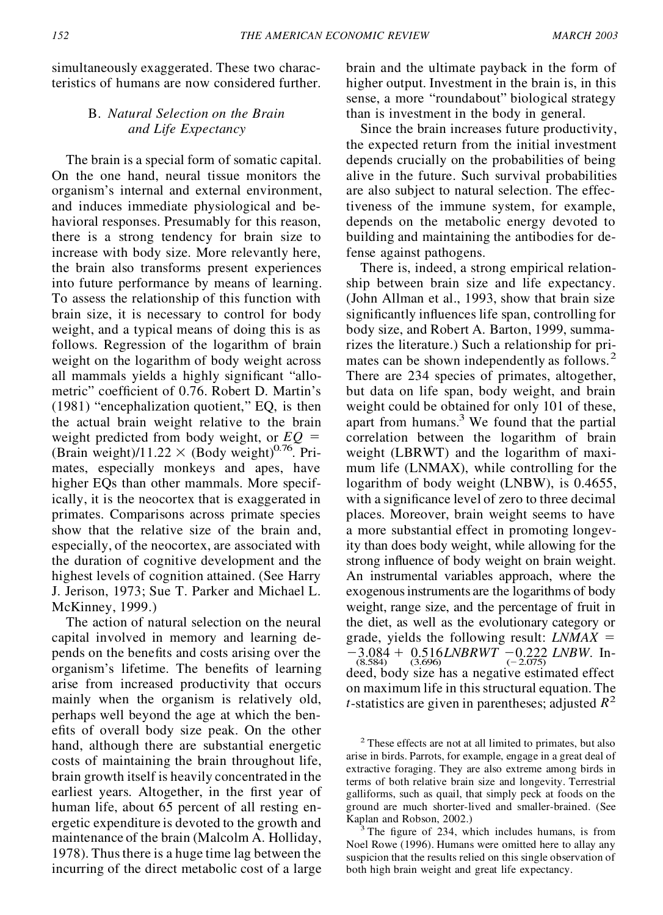simultaneously exaggerated. These two characteristics of humans are now considered further.

#### B. *Natural Selection on the Brain and Life Expectancy*

The brain is a special form of somatic capital. On the one hand, neural tissue monitors the organism's internal and external environment, and induces immediate physiological and behavioral responses. Presumably for this reason, there is a strong tendency for brain size to increase with body size. More relevantly here, the brain also transforms present experiences into future performance by means of learning. To assess the relationship of this function with brain size, it is necessary to control for body weight, and a typical means of doing this is as follows. Regression of the logarithm of brain weight on the logarithm of body weight across all mammals yields a highly significant "allometric" coefficient of 0.76. Robert D. Martin's (1981) "encephalization quotient," EQ, is then the actual brain weight relative to the brain weight predicted from body weight, or  $EO =$ (Brain weight)/11.22  $\times$  (Body weight)<sup>0.76</sup>. Primates, especially monkeys and apes, have higher EQs than other mammals. More specifically, it is the neocortex that is exaggerated in primates. Comparisons across primate species show that the relative size of the brain and, especially, of the neocortex, are associated with the duration of cognitive development and the highest levels of cognition attained. (See Harry J. Jerison, 1973; Sue T. Parker and Michael L. McKinney, 1999.)

The action of natural selection on the neural capital involved in memory and learning depends on the benefits and costs arising over the organism's lifetime. The benefits of learning arise from increased productivity that occurs mainly when the organism is relatively old, perhaps well beyond the age at which the benefits of overall body size peak. On the other hand, although there are substantial energetic costs of maintaining the brain throughout life, brain growth itself is heavily concentrated in the earliest years. Altogether, in the first year of human life, about 65 percent of all resting energetic expenditure is devoted to the growth and maintenance of the brain (Malcolm A. Holliday, 1978). Thus there is a huge time lag between the incurring of the direct metabolic cost of a large

brain and the ultimate payback in the form of higher output. Investment in the brain is, in this sense, a more "roundabout" biological strategy than is investment in the body in general.

Since the brain increases future productivity, the expected return from the initial investment depends crucially on the probabilities of being alive in the future. Such survival probabilities are also subject to natural selection. The effectiveness of the immune system, for example, depends on the metabolic energy devoted to building and maintaining the antibodies for defense against pathogens.

There is, indeed, a strong empirical relationship between brain size and life expectancy. (John Allman et al., 1993, show that brain size significantly influences life span, controlling for body size, and Robert A. Barton, 1999, summarizes the literature.) Such a relationship for primates can be shown independently as follows.<sup>2</sup> There are 234 species of primates, altogether, but data on life span, body weight, and brain weight could be obtained for only 101 of these, apart from humans.<sup>3</sup> We found that the partial correlation between the logarithm of brain weight (LBRWT) and the logarithm of maximum life (LNMAX), while controlling for the logarithm of body weight (LNBW), is 0.4655, with a significance level of zero to three decimal places. Moreover, brain weight seems to have a more substantial effect in promoting longevity than does body weight, while allowing for the strong influence of body weight on brain weight. An instrumental variables approach, where the exogenous instruments are the logarithms of body weight, range size, and the percentage of fruit in the diet, as well as the evolutionary category or grade, yields the following result:  $LNMAX =$  $-3.084 + 0.516$ *LNBRWT*  $-0.222$ *LNBW*. In-<br>(8.584) (3.696) deed, body size has a negative estimated effect on maximum life in this structural equation. The *t*-statistics are given in parentheses; adjusted  $R^2$ 

 $2$  These effects are not at all limited to primates, but also arise in birds. Parrots, for example, engage in a great deal of extractive foraging. They are also extreme among birds in terms of both relative brain size and longevity. Terrestrial galliforms, such as quail, that simply peck at foods on the ground are much shorter-lived and smaller-brained. (See Kaplan and Robson, 2002.)

<sup>&</sup>lt;sup>3</sup> The figure of 234, which includes humans, is from Noel Rowe (1996). Humans were omitted here to allay any suspicion that the results relied on this single observation of both high brain weight and great life expectancy.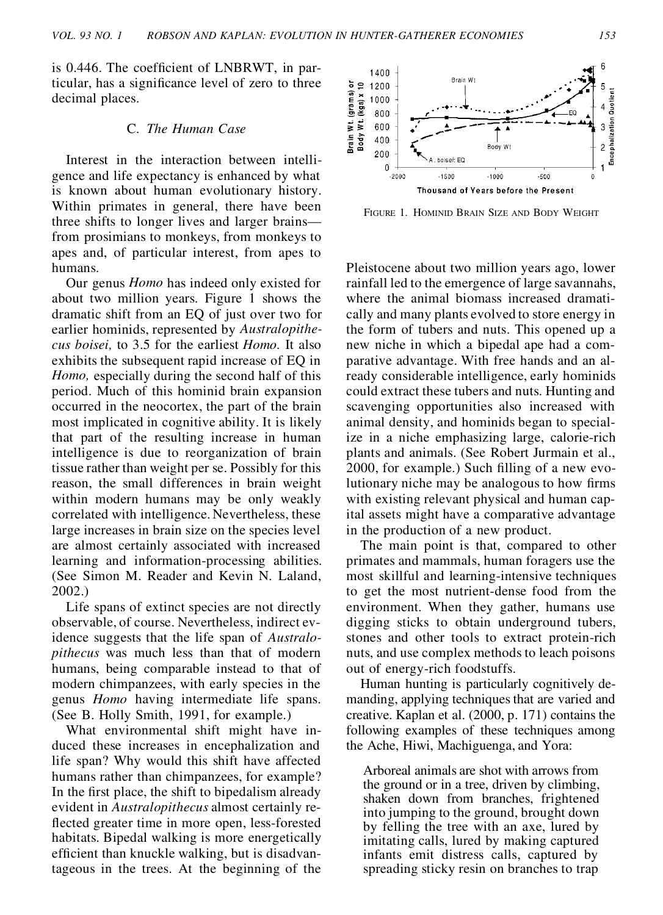#### C. *The Human Case*

Interest in the interaction between intelligence and life expectancy is enhanced by what is known about human evolutionary history. Within primates in general, there have been three shifts to longer lives and larger brains from prosimians to monkeys, from monkeys to apes and, of particular interest, from apes to humans.

Our genus *Homo* has indeed only existed for about two million years. Figure 1 shows the dramatic shift from an EQ of just over two for earlier hominids, represented by *Australopithe cus boisei,* to 3.5 for the earliest *Homo.* It also exhibits the subsequent rapid increase of EQ in *Homo,* especially during the second half of this period. Much of this hominid brain expansion occurred in the neocortex, the part of the brain most implicated in cognitive ability. It is likely that part of the resulting increase in human intelligence is due to reorganization of brain tissue rather than weight per se. Possibly for this reason, the small differences in brain weight within modern humans may be only weakly correlated with intelligence. Nevertheless, these large increases in brain size on the species level are almost certainly associated with increased learning and information-processing abilities. (See Simon M. Reader and Kevin N. Laland, 2002.)

Life spans of extinct species are not directly observable, of course. Nevertheless, indirect evidence suggests that the life span of *Australopithecus* was much less than that of modern humans, being comparable instead to that of modern chimpanzees, with early species in the genus *Homo* having intermediate life spans. (See B. Holly Smith, 1991, for example.)

What environmental shift might have induced these increases in encephalization and life span? Why would this shift have affected humans rather than chimpanzees, for example? In the first place, the shift to bipedalism already evident in *Australopithecus* almost certainly re flected greater time in more open, less-forested habitats. Bipedal walking is more energetically efficient than knuckle walking, but is disadvantageous in the trees. At the beginning of the

Pleistocene about two million years ago, lower rainfall led to the emergence of large savannahs, where the animal biomass increased dramatically and many plants evolved to store energy in the form of tubers and nuts. This opened up a new niche in which a bipedal ape had a comparative advantage. With free hands and an already considerable intelligence, early hominids could extract these tubers and nuts. Hunting and scavenging opportunities also increased with animal density, and hominids began to specialize in a niche emphasizing large, calorie-rich plants and animals. (See Robert Jurmain et al.,  $2000$ , for example.) Such filling of a new evolutionary niche may be analogous to how firms with existing relevant physical and human capital assets might have a comparative advantage in the production of a new product.

The main point is that, compared to other primates and mammals, human foragers use the most skillful and learning-intensive techniques to get the most nutrient-dense food from the environment. When they gather, humans use digging sticks to obtain underground tubers, stones and other tools to extract protein-rich nuts, and use complex methods to leach poisons out of energy-rich foodstuffs.

Human hunting is particularly cognitively demanding, applying techniques that are varied and creative. Kaplan et al. (2000, p. 171) contains the following examples of these techniques among the Ache, Hiwi, Machiguenga, and Yora:

Arboreal animals are shot with arrows from the ground or in a tree, driven by climbing, shaken down from branches, frightened into jumping to the ground, brought down by felling the tree with an axe, lured by imitating calls, lured by making captured infants emit distress calls, captured by spreading sticky resin on branches to trap

FIGURE 1. HOMINID BRAIN SIZE AND BODY WEIGHT

*VOL. 93 NO. 1 ROBSON AND KAPLAN: EVOLUTION IN HUNTER-GATHERER ECONOMIES 153*

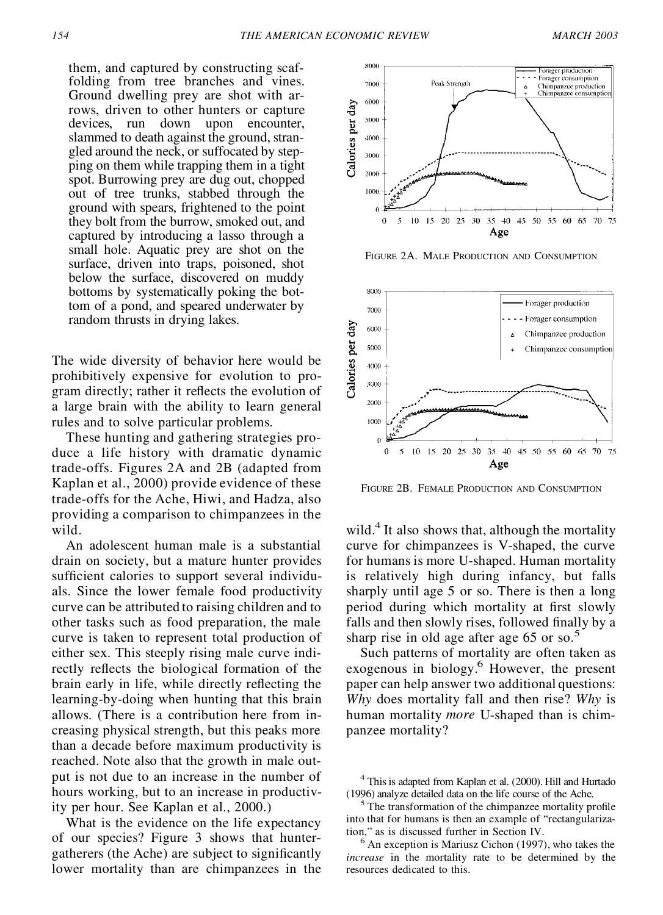them, and captured by constructing scaffolding from tree branches and vines. Ground dwelling prey are shot with arrows, driven to other hunters or capture devices, run down upon encounter, slammed to death against the ground, strangled around the neck, or suffocated by stepping on them while trapping them in a tight spot. Burrowing prey are dug out, chopped out of tree trunks, stabbed through the ground with spears, frightened to the point they bolt from the burrow, smoked out, and captured by introducing a lasso through a small hole. Aquatic prey are shot on the surface, driven into traps, poisoned, shot below the surface, discovered on muddy bottoms by systematically poking the bottom of a pond, and speared underwater by random thrusts in drying lakes.

The wide diversity of behavior here would be prohibitively expensive for evolution to program directly; rather it reflects the evolution of a large brain with the ability to learn general rules and to solve particular problems.

These hunting and gathering strategies produce a life history with dramatic dynamic trade-offs. Figures 2A and 2B (adapted from Kaplan et al., 2000) provide evidence of these trade-offs for the Ache, Hiwi, and Hadza, also providing a comparison to chimpanzees in the wild.

An adolescent human male is a substantial drain on society, but a mature hunter provides sufficient calories to support several individuals. Since the lower female food productivity curve can be attributed to raising children and to other tasks such as food preparation, the male curve is taken to represent total production of either sex. This steeply rising male curve indirectly reflects the biological formation of the brain early in life, while directly reflecting the learning-by-doing when hunting that this brain allows. (There is a contribution here from increasing physical strength, but this peaks more than a decade before maximum productivity is reached. Note also that the growth in male output is not due to an increase in the number of hours working, but to an increase in productivity per hour. See Kaplan et al., 2000.)

What is the evidence on the life expectancy of our species? Figure 3 shows that huntergatherers (the Ache) are subject to significantly lower mortality than are chimpanzees in the



FIGURE 2A. MALE PRODUCTION AND CONSUMPTION



FIGURE 2B. FEMALE PRODUCTION AND CONSUMPTION

wild. $4$  It also shows that, although the mortality curve for chimpanzees is V-shaped, the curve for humans is more U-shaped. Human mortality is relatively high during infancy, but falls sharply until age 5 or so. There is then a long period during which mortality at first slowly falls and then slowly rises, followed finally by a sharp rise in old age after age 65 or so.<sup>5</sup>

Such patterns of mortality are often taken as exogenous in biology.<sup>6</sup> However, the present paper can help answer two additional questions: *Why* does mortality fall and then rise? *Why* is human mortality *more* U-shaped than is chimpanzee mortality?

 $4$  This is adapted from Kaplan et al. (2000). Hill and Hurtado

<sup>(1996)</sup> analyze detailed data on the life course of the Ache.  $5$  The transformation of the chimpanzee mortality profile into that for humans is then an example of "rectangularization," as is discussed further in Section IV.<br><sup>6</sup> An exception is Mariusz Cichon (1997), who takes the

*increase* in the mortality rate to be determined by the resources dedicated to this.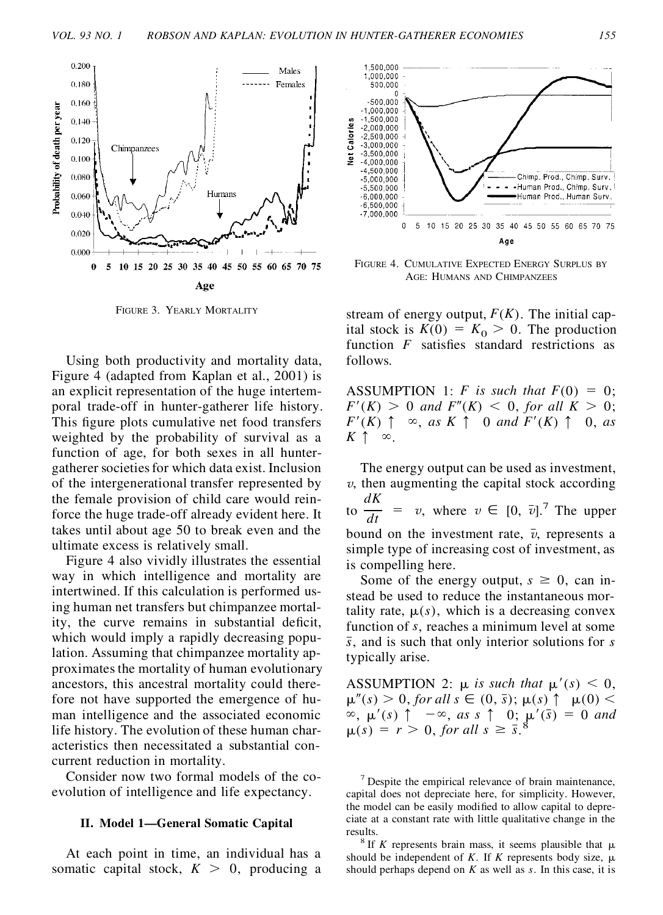

FIGURE 3. YEARLY MORTALITY

Using both productivity and mortality data, Figure 4 (adapted from Kaplan et al., 2001) is an explicit representation of the huge intertemporal trade-off in hunter-gatherer life history. This figure plots cumulative net food transfers weighted by the probability of survival as a function of age, for both sexes in all huntergatherer societiesfor which data exist. Inclusion of the intergenerational transfer represented by the female provision of child care would reinforce the huge trade-off already evident here. It takes until about age 50 to break even and the ultimate excess is relatively small.

Figure 4 also vividly illustrates the essential way in which intelligence and mortality are intertwined. If this calculation is performed using human net transfers but chimpanzee mortality, the curve remains in substantial deficit, which would imply a rapidly decreasing population. Assuming that chimpanzee mortality approximates the mortality of human evolutionary ancestors, this ancestral mortality could therefore not have supported the emergence of human intelligence and the associated economic life history. The evolution of these human characteristics then necessitated a substantial concurrent reduction in mortality.

Consider now two formal models of the coevolution of intelligence and life expectancy.

#### **II. Model 1—General Somatic Capital**

At each point in time, an individual has a somatic capital stock,  $K > 0$ , producing a



FIGURE 4. CUMULATIVE EXPECTED ENERGY SURPLUS BY AGE: HUMANS AND CHIMPANZEES

stream of energy output,  $F(K)$ . The initial capital stock is  $K(0) = K_0 > 0$ . The production function  $F$  satisfies standard restrictions as follows.

ASSUMPTION 1: *F* is such that  $F(0) = 0$ ;  $F'(K) > 0$  *and*  $F''(K) < 0$ , *for all*  $K > 0$ ;  $F'(K) \uparrow \infty$ , *as*  $K \uparrow 0$  *and*  $F'(K) \uparrow 0$ , *as*  $K \uparrow \infty$ .

The energy output can be used as investment,  $v$ , then augmenting the capital stock according to  $\frac{1}{\sqrt{1}}$  $\frac{dK}{dt}$  = *v*, where  $v \in [0, \bar{v}]$ .<sup>7</sup> The upper bound on the investment rate,  $\bar{v}$ , represents a simple type of increasing cost of investment, as is compelling here.

Some of the energy output,  $s \geq 0$ , can instead be used to reduce the instantaneous mortality rate,  $\mu(s)$ , which is a decreasing convex function of *s*, reaches a minimum level at some  $\overline{s}$ , and is such that only interior solutions for *s* typically arise.

ASSUMPTION 2:  $\mu$  *is such that*  $\mu'(s) \leq 0$ ,  $\mu''(s) > 0$ , *for all*  $s \in (0, \bar{s})$ ;  $\mu(s) \uparrow \mu(0)$  $\infty$ ,  $\mu'(s)$   $\uparrow$   $-\infty$ , *as s*  $\uparrow$  0;  $\mu'(\bar{s}) = 0$  *and*<br> $\mu(s) = r > 0$ , *for all*  $s \ge \bar{s}$ .<sup>8</sup>.

 $<sup>7</sup>$  Despite the empirical relevance of brain maintenance,</sup> capital does not depreciate here, for simplicity. However, the model can be easily modified to allow capital to depreciate at a constant rate with little qualitative change in the results.<br><sup>8</sup> If *K* represents brain mass, it seems plausible that  $\mu$ 

should be independent of *K*. If *K* represents body size,  $\mu$ should perhaps depend on *K* as well as *s*. In this case, it is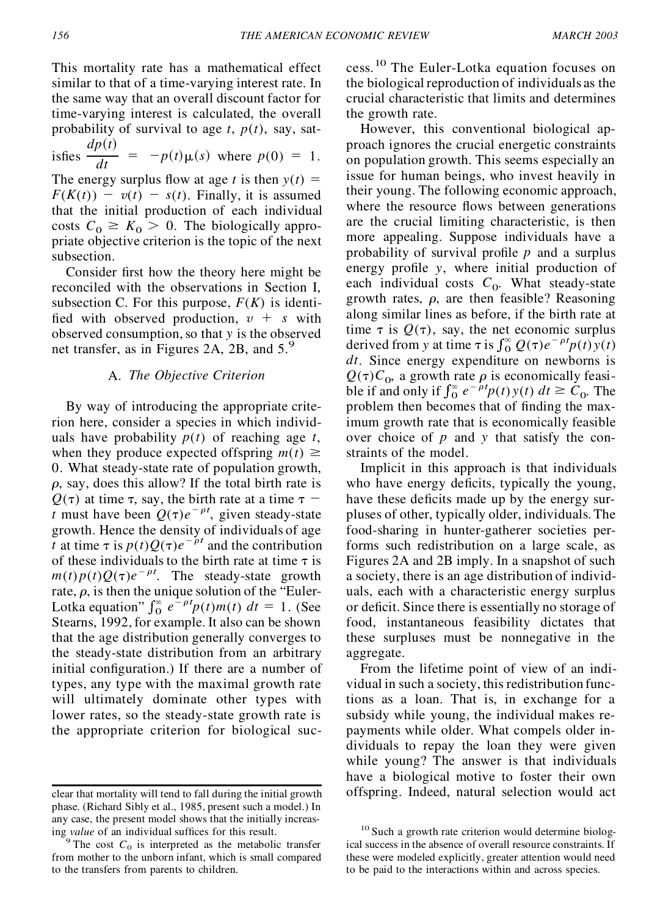This mortality rate has a mathematical effect similar to that of a time-varying interest rate. In the same way that an overall discount factor for time-varying interest is calculated, the overall probability of survival to age  $t$ ,  $p(t)$ , say, satisfies  $\div$  $dp(t)$  $\frac{dy}{dt} = -p(t)\mu(s)$  where  $p(0) = 1$ .

The energy surplus flow at age *t* is then  $y(t)$  =  $F(K(t)) - v(t) - s(t)$ . Finally, it is assumed that the initial production of each individual costs  $C_0 \geq K_0 > 0$ . The biologically appropriate objective criterion is the topic of the next subsection.

Consider first how the theory here might be reconciled with the observations in Section I, subsection C. For this purpose,  $F(K)$  is identified with observed production,  $v + s$  with observed consumption,so that *y* is the observed net transfer, as in Figures 2A, 2B, and  $5<sup>9</sup>$ .

#### A. *The Objective Criterion*

By way of introducing the appropriate criterion here, consider a species in which individuals have probability  $p(t)$  of reaching age *t*, when they produce expected offspring  $m(t) \geq$ 0. What steady-state rate of population growth, *r*, say, does this allow? If the total birth rate is  $Q(\tau)$  at time  $\tau$ , say, the birth rate at a time  $\tau$  – *t* must have been  $Q(\tau)e^{-\rho t}$ , given steady-state growth. Hence the density of individuals of age t at time  $\tau$  is  $p(t)Q(\tau)e^{-\rho t}$  and the contribution of these individuals to the birth rate at time  $\tau$  is  $m(t)p(t)Q(\tau)e^{-\rho t}$ . The steady-state growth rate,  $\rho$ , is then the unique solution of the "Euler-Lotka equation"  $\int_0^\infty e^{-pt}p(t)m(t) dt = 1$ . (See Stearns, 1992, for example. It also can be shown that the age distribution generally converges to the steady-state distribution from an arbitrary initial configuration.) If there are a number of types, any type with the maximal growth rate will ultimately dominate other types with lower rates, so the steady-state growth rate is the appropriate criterion for biological suc-

cess.<sup>10</sup> The Euler-Lotka equation focuses on the biological reproduction of individuals as the crucial characteristic that limits and determines the growth rate.

However, this conventional biological approach ignores the crucial energetic constraints on population growth. This seems especially an issue for human beings, who invest heavily in their young. The following economic approach, where the resource flows between generations are the crucial limiting characteristic, is then more appealing. Suppose individuals have a probability of survival profile  $p$  and a surplus energy profile *y*, where initial production of each individual costs  $C_0$ . What steady-state growth rates,  $\rho$ , are then feasible? Reasoning along similar lines as before, if the birth rate at time  $\tau$  is  $Q(\tau)$ , say, the net economic surplus derived from *y* at time  $\tau$  is  $\int_0^{\infty} Q(\tau) e^{-\rho t} p(t) y(t)$ *dt*. Since energy expenditure on newborns is  $Q(\tau)C_0$ , a growth rate  $\rho$  is economically feasible if and only if  $\int_0^\infty e^{-pt}p(t)y(t) dt \ge C_0$ . The problem then becomes that of finding the maximum growth rate that is economically feasible over choice of *p* and *y* that satisfy the constraints of the model.

Implicit in this approach is that individuals who have energy deficits, typically the young, have these deficits made up by the energy surpluses of other, typically older, individuals. The food-sharing in hunter-gatherer societies performs such redistribution on a large scale, as Figures 2A and 2B imply. In a snapshot of such a society, there is an age distribution of individuals, each with a characteristic energy surplus or deficit. Since there is essentially no storage of food, instantaneous feasibility dictates that these surpluses must be nonnegative in the aggregate.

From the lifetime point of view of an individual in such a society, thisredistribution functions as a loan. That is, in exchange for a subsidy while young, the individual makes repayments while older. What compels older individuals to repay the loan they were given while young? The answer is that individuals have a biological motive to foster their own clear that mortality will tend to fall during the initial growth offspring. Indeed, natural selection would act

phase. (Richard Sibly et al., 1985, present such a model.) In any case, the present model shows that the initially increas-

ing *value* of an individual suffices for this result.<br><sup>9</sup> The cost  $C_0$  is interpreted as the metabolic transfer from mother to the unborn infant, which is small compared to the transfers from parents to children.

<sup>&</sup>lt;sup>10</sup> Such a growth rate criterion would determine biological success in the absence of overall resource constraints. If these were modeled explicitly, greater attention would need to be paid to the interactions within and across species.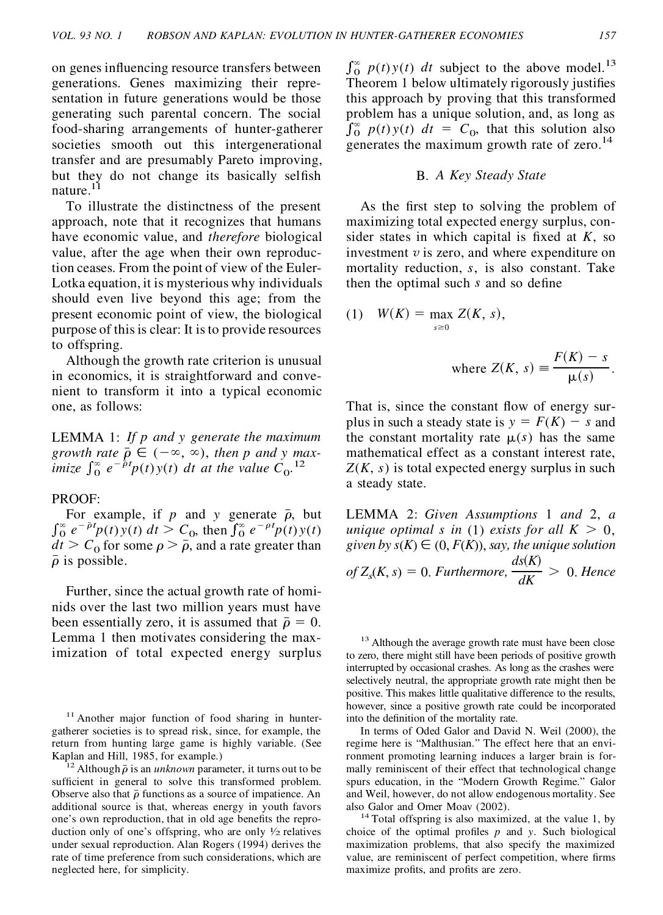on genes influencing resource transfers between generations. Genes maximizing their representation in future generations would be those generating such parental concern. The social food-sharing arrangements of hunter-gatherer societies smooth out this intergenerational transfer and are presumably Pareto improving, but they do not change its basically selfish nature.<sup>11</sup>

To illustrate the distinctness of the present approach, note that it recognizes that humans have economic value, and *therefore* biological value, after the age when their own reproduction ceases. From the point of view of the Euler-Lotka equation, it is mysterious why individuals should even live beyond this age; from the present economic point of view, the biological purpose of thisis clear: It isto provide resources to offspring.

Although the growth rate criterion is unusual in economics, it is straightforward and convenient to transform it into a typical economic one, as follows:

LEMMA 1: *If p and y generate the maximum* growth rate  $\bar{\rho} \in (-\infty, \infty)$ , then p and y maximize  $\int_0^{\infty} e^{-\rho t} p(t) y(t) dt$  at the value  $C_0$ .<sup>12</sup>

#### PROOF:

For example, if  $p$  and  $y$  generate  $\bar{p}$ , but  $\int_{0}^{\infty} e^{-\bar{\rho}t} p(t) y(t) dt > C_0$ , then  $\int_{0}^{\infty} e^{-\rho t} p(t) y(t)$  $dt > C_0$  for some  $\rho > \overline{\rho}$ , and a rate greater than  $\bar{\rho}$  is possible.

Further, since the actual growth rate of hominids over the last two million years must have been essentially zero, it is assumed that  $\bar{p} = 0$ . Lemma 1 then motivates considering the maximization of total expected energy surplus

<sup>11</sup> Another major function of food sharing in huntergatherer societies is to spread risk, since, for example, the return from hunting large game is highly variable. (See Kaplan and Hill, 1985, for example.)

<sup>12</sup> Although  $\bar{\rho}$  is an *unknown* parameter, it turns out to be sufficient in general to solve this transformed problem. Observe also that  $\bar{\rho}$  functions as a source of impatience. An additional source is that, whereas energy in youth favors one's own reproduction, that in old age benefits the reproduction only of one's offspring, who are only  $\frac{1}{2}$  relatives under sexual reproduction. Alan Rogers (1994) derives the rate of time preference from such considerations, which are neglected here, for simplicity.

 $\int_0^{\infty} p(t)y(t) dt$  subject to the above model.<sup>13</sup><br>Theorem 1 below ultimately rigorously justifies this approach by proving that this transformed problem has a unique solution, and, as long as  $\int_{0}^{\infty} p(t)y(t) dt = C_0$ , that this solution also generates the maximum growth rate of zero.<sup>14</sup>

#### B. *A Key Steady State*

As the first step to solving the problem of maximizing total expected energy surplus, consider states in which capital is fixed at  $K$ , so investment  $v$  is zero, and where expenditure on mortality reduction, *s*, is also constant. Take then the optimal such *s* and so define

$$
(1) \quad W(K) = \max_{s \geq 0} Z(K, s),
$$

where 
$$
Z(K, s) = \frac{F(K) - s}{\mu(s)}
$$
.

That is, since the constant flow of energy surplus in such a steady state is  $y = F(K) - s$  and the constant mortality rate  $\mu(s)$  has the same mathematical effect as a constant interest rate, *Z*(*K*, *s*) is total expected energy surplus in such a steady state.

LEMMA 2:*Given Assumptions* 1 *and* 2, *a unique optimal s in* (1) *exists for all*  $K > 0$ , *given* by  $s(K) \in (0, F(K))$ , *say, the unique solution*  $of Z_s(K, s) = 0$ . *Furthermore*,  $$  $ds(K)$  $\frac{dX}{dK} > 0$ . *Hence* 

<sup>13</sup> Although the average growth rate must have been close to zero, there might still have been periods of positive growth interrupted by occasional crashes. As long as the crashes were selectively neutral, the appropriate growth rate might then be positive. This makes little qualitative difference to the results, however, since a positive growth rate could be incorporated into the definition of the mortality rate.

In terms of Oded Galor and David N. Weil (2000), the regime here is "Malthusian." The effect here that an environment promoting learning induces a larger brain is formally reminiscent of their effect that technological change spurs education, in the "Modern Growth Regime." Galor and Weil, however, do not allow endogenous mortality. See also Galor and Omer Moav (2002).  $14$  Total offspring is also maximized, at the value 1, by

choice of the optimal profiles  $p$  and  $y$ . Such biological maximization problems, that also specify the maximized value, are reminiscent of perfect competition, where firms maximize profits, and profits are zero.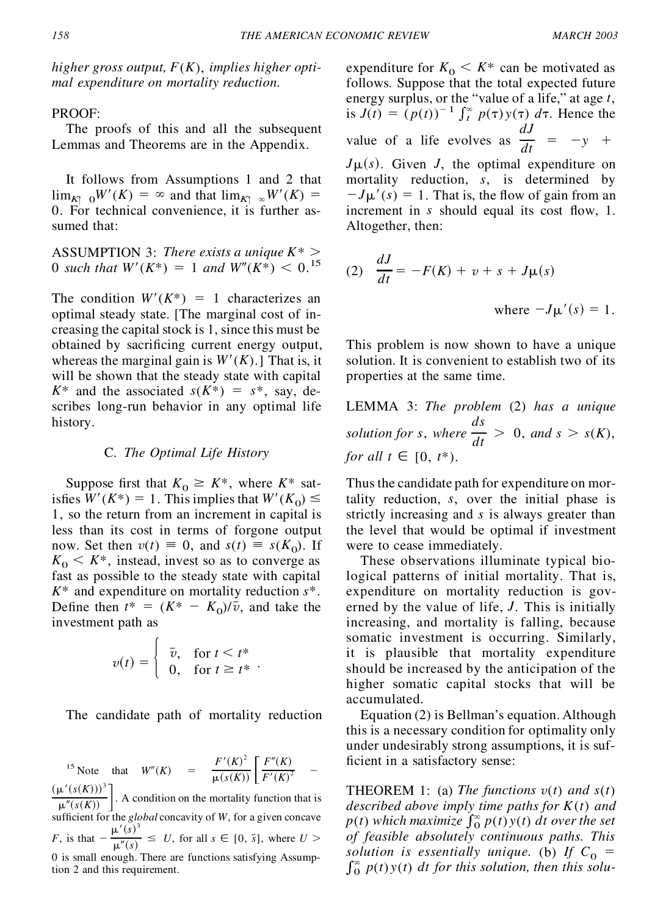*higher gross output, F*(*K*), *implies higher optimal expenditure on mortality reduction.*

#### PROOF:

The proofs of this and all the subsequent Lemmas and Theorems are in the Appendix.

It follows from Assumptions 1 and 2 that  $\lim_{K \uparrow} 0^W(K) = \infty$  and that  $\lim_{K \uparrow} 0^W(K) =$ 0. For technical convenience, it is further assumed that:

ASSUMPTION 3: *There exists a unique*  $K^*$  > 0 *such that*  $W'(K^*) = 1$  *and*  $W''(K^*) \leq 0.15$ 

The condition  $W'(K^*) = 1$  characterizes an optimal steady state. [The marginal cost of increasing the capital stock is 1, since this must be obtained by sacrificing current energy output, whereas the marginal gain is  $W'(K)$ .] That is, it will be shown that the steady state with capital  $K^*$  and the associated  $s(K^*) = s^*$ , say, describes long-run behavior in any optimal life history.

#### C. *The Optimal Life History*

Suppose first that  $K_0 \geq K^*$ , where  $K^*$  satisfies  $W'(K^*) = 1$ . This implies that  $W'(K_0) \le$ 1, so the return from an increment in capital is less than its cost in terms of forgone output now. Set then  $v(t) \equiv 0$ , and  $s(t) \equiv s(K_0)$ . If  $K_0 \leq K^*$ , instead, invest so as to converge as fast as possible to the steady state with capital *K*\* and expenditure on mortality reduction *s*\*. Define then  $t^* = (K^* - K_0)/\overline{v}$ , and take the investment path as

$$
v(t) = \begin{cases} \bar{v}, & \text{for } t < t^* \\ 0, & \text{for } t \geq t^* \end{cases}
$$

The candidate path of mortality reduction

.

<sup>15</sup> Note that  $W''(K) = \frac{F'(K)^2}{(F(K))^2}$  $\mu(s(K))$  $F''(K)$  $\frac{K^2}{F^2(K)^2}$  –  $\left(\frac{(\mu'(s(K)))^3}{\mu''(s(K))}\right]$ . A condition on the mortality function that is sufficient for the *global* concavity of *W*, for a given concave *F*, is that  $-\frac{\mu'(s)^3}{\mu''(s)} \le U$ , for all  $s \in [0, \overline{s}]$ , where  $U > 0$ 0 is small enough. There are functions satisfying Assumption 2 and this requirement.

expenditure for  $K_0 \leq K^*$  can be motivated as follows. Suppose that the total expected future energy surplus, or the "value of a life," at age *t*, is  $J(t) = (p(t))^{-1} \int_t^{\infty} p(\tau) y(\tau) d\tau$ . Hence the value of a life evolves as  $\frac{1}{4}$ *dJ*  $\frac{d}{dt} = -y +$  $J\mu(s)$ . Given *J*, the optimal expenditure on mortality reduction, *s*, is determined by  $-J\mu'(s) = 1$ . That is, the flow of gain from an increment in *s* should equal its cost flow, 1. Altogether, then:

(2) 
$$
\frac{dJ}{dt} = -F(K) + v + s + J\mu(s)
$$
  
where  $-J\mu'(s) = 1$ .

This problem is now shown to have a unique solution. It is convenient to establish two of its properties at the same time.

LEMMA 3:*The problem* (2) *has a unique solution for s*, *where*  $\frac{ds}{dt} > 0$ , *and s*  $> s(K)$ , *for all*  $t \in [0, t^*).$ 

Thus the candidate path for expenditure on mortality reduction, *s*, over the initial phase is strictly increasing and *s* is always greater than the level that would be optimal if investment were to cease immediately.

These observations illuminate typical biological patterns of initial mortality. That is, expenditure on mortality reduction is governed by the value of life, *J*. This is initially increasing, and mortality is falling, because somatic investment is occurring. Similarly, it is plausible that mortality expenditure should be increased by the anticipation of the higher somatic capital stocks that will be accumulated.

Equation (2) is Bellman's equation. Although this is a necessary condition for optimality only under undesirably strong assumptions, it is suf ficient in a satisfactory sense:

**THEOREM** 1: (a) *The functions*  $v(t)$  *and*  $s(t)$ *described above imply time paths for K*(*t*) *and p*(*t*) *which maximize*  $\int_{0}^{\infty} p(t)y(t) dt$  *over the set of feasible absolutely continuous paths. This solution is essentially unique.* (b) *If*  $C_0$  =  $\int_{0}^{\infty} p(t)y(t) dt$  *for this solution, then this solu-*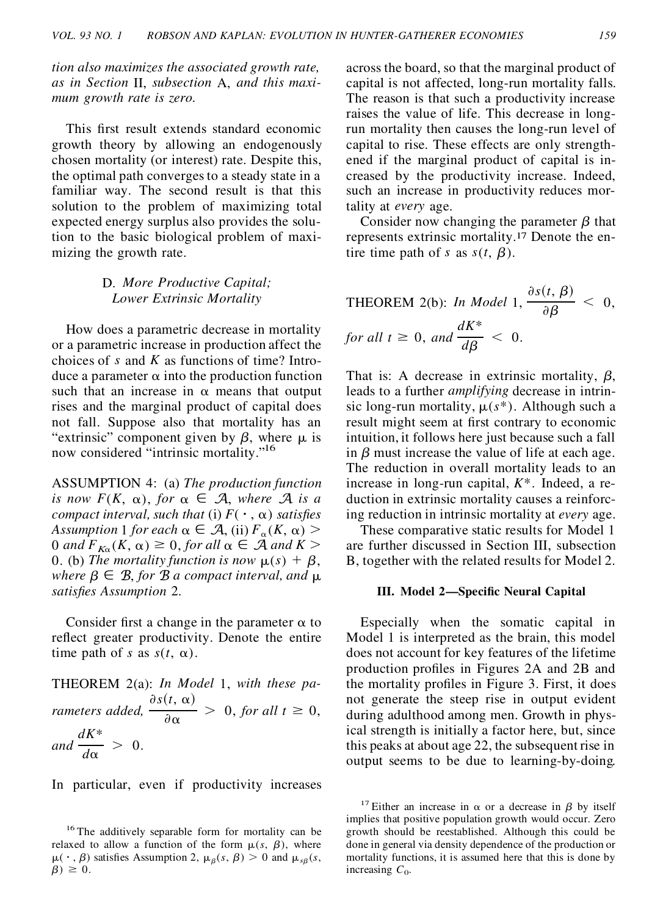*tion also maximizes the associated growth rate, as in Section* II, *subsection* A, *and this maxi mum growth rate is zero.*

This first result extends standard economic growth theory by allowing an endogenously chosen mortality (or interest) rate. Despite this, the optimal path convergesto a steady state in a familiar way. The second result is that this solution to the problem of maximizing total expected energy surplus also provides the solution to the basic biological problem of maximizing the growth rate.

#### D. *More Productive Capital; Lower Extrinsic Mortality*

How does a parametric decrease in mortality or a parametric increase in production affect the choices of *s* and *K* as functions of time? Introduce a parameter  $\alpha$  into the production function such that an increase in  $\alpha$  means that output rises and the marginal product of capital does not fall. Suppose also that mortality has an "extrinsic" component given by  $\beta$ , where  $\mu$  is now considered "intrinsic mortality."<sup>16</sup>

ASSUMPTION 4: (a) *The production function is now*  $F(K, \alpha)$ *, for*  $\alpha \in \mathcal{A}$ *, where*  $\mathcal{A}$  *is a compact interval, such that* (i)  $F(\cdot, \alpha)$  *satisfies Assumption* 1 *for each*  $\alpha \in \mathcal{A}$ , (ii)  $F_{\alpha}(K, \alpha)$  > 0 *and*  $F_{K\alpha}(K, \alpha) \ge 0$ , *for all*  $\alpha \in \mathcal{A}$  *and*  $K$  > 0. (b) The mortality function is now  $\mu(s) + \beta$ , *where*  $\beta \in \mathcal{B}$ , *for*  $\beta$  *a compact interval*, *and*  $\mu$ *satis es Assumption* 2.

Consider first a change in the parameter  $\alpha$  to reflect greater productivity. Denote the entire time path of *s* as  $s(t, \alpha)$ .

THEOREM 2(a): *In Model* 1, *with these parameters added*,  $\frac{\partial s(t, \alpha)}{\partial}$  >  $\frac{\partial}{\partial \alpha}$  > 0, *for all*  $t \ge 0$ ,  $\frac{dK^*}{dt}$  $\frac{d\alpha}{d\alpha} > 0.$ 

In particular, even if productivity increases

across the board, so that the marginal product of capital is not affected, long-run mortality falls. The reason is that such a productivity increase raises the value of life. This decrease in longrun mortality then causes the long-run level of capital to rise. These effects are only strengthened if the marginal product of capital is increased by the productivity increase. Indeed, such an increase in productivity reduces mortality at *every* age.

Consider now changing the parameter  $\beta$  that represents extrinsic mortality.17 Denote the entire time path of *s* as  $s(t, \beta)$ .

THEOREM 2(b): In Model 1, 
$$
\frac{\partial s(t, \beta)}{\partial \beta} < 0
$$
,  
for all  $t \ge 0$ , and  $\frac{dK^*}{d\beta} < 0$ .

That is: A decrease in extrinsic mortality,  $\beta$ , leads to a further *amplifying* decrease in intrinsic long-run mortality,  $\mu(s^*)$ . Although such a result might seem at first contrary to economic intuition, it follows here just because such a fall in *b* must increase the value of life at each age. The reduction in overall mortality leads to an increase in long-run capital, *K*\*. Indeed, a reduction in extrinsic mortality causes a reinforcing reduction in intrinsic mortality at *every* age.

These comparative static results for Model 1 are further discussed in Section III, subsection B, together with the related results for Model 2.

#### **III. Model 2—Speci c Neural Capital**

Especially when the somatic capital in Model 1 is interpreted as the brain, this model does not account for key features of the lifetime production profiles in Figures 2A and 2B and the mortality profiles in Figure 3. First, it does not generate the steep rise in output evident during adulthood among men. Growth in physical strength is initially a factor here, but, since this peaks at about age 22, the subsequent rise in output seems to be due to learning-by-doing.

<sup>&</sup>lt;sup>16</sup> The additively separable form for mortality can be relaxed to allow a function of the form  $\mu(s, \beta)$ , where  $\mu(\cdot, \beta)$  satisfies Assumption 2,  $\mu_{\beta}(s, \beta) > 0$  and  $\mu_{s\beta}(s, \beta)$  $\beta$ )  $\geq$  0.

<sup>&</sup>lt;sup>17</sup> Either an increase in  $\alpha$  or a decrease in  $\beta$  by itself implies that positive population growth would occur. Zero growth should be reestablished. Although this could be done in general via density dependence of the production or mortality functions, it is assumed here that this is done by increasing  $C_0$ .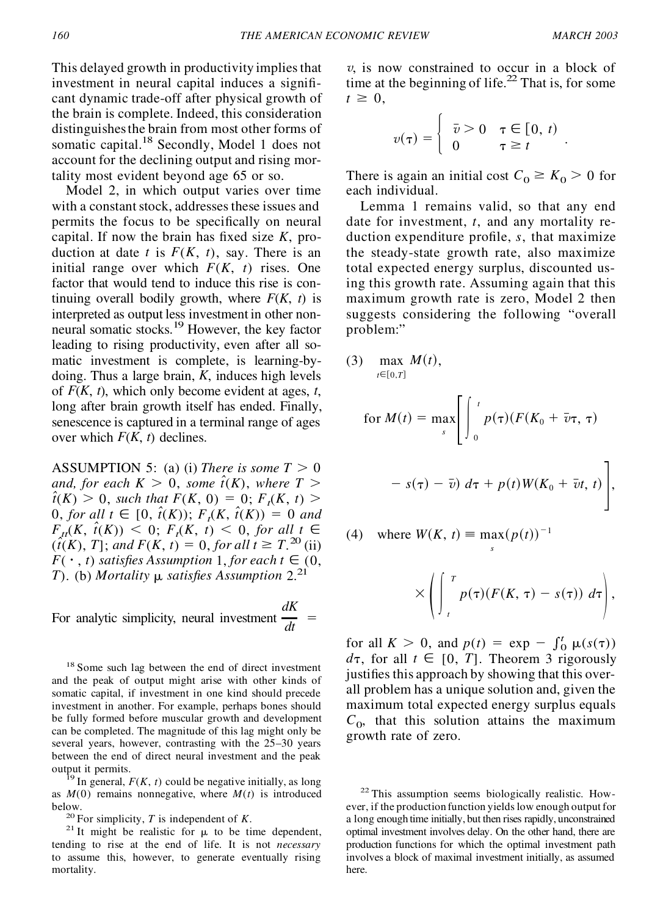.

This delayed growth in productivity impliesthat investment in neural capital induces a significant dynamic trade-off after physical growth of the brain is complete. Indeed, this consideration distinguishesthe brain from most other forms of somatic capital.<sup>18</sup> Secondly, Model 1 does not account for the declining output and rising mortality most evident beyond age 65 or so.

Model 2, in which output varies over time with a constant stock, addresses these issues and permits the focus to be specifically on neural capital. If now the brain has fixed size  $K$ , production at date *t* is  $F(K, t)$ , say. There is an initial range over which  $F(K, t)$  rises. One factor that would tend to induce this rise is continuing overall bodily growth, where  $F(K, t)$  is interpreted as output less investment in other nonneural somatic stocks.<sup>19</sup> However, the key factor leading to rising productivity, even after all somatic investment is complete, is learning-bydoing. Thus a large brain, *K*, induces high levels of *F*(*K*, *t*), which only become evident at ages, *t*, long after brain growth itself has ended. Finally, senescence is captured in a terminal range of ages over which  $F(K, t)$  declines.

ASSUMPTION 5: (a) (i) *There* is some  $T > 0$ *and, for each*  $K > 0$ *, some*  $\hat{t}(K)$ *, where*  $T > 0$  $\hat{t}(K) > 0$ , *such* that  $F(K, 0) = 0$ ;  $F_t(K, t) > 0$ . 0, *for all t* ∈ [0,  $\hat{t}(K)$ );  $F_{t}(K, \hat{t}(K)) = 0$  *and*  $F_{tt}(K, \hat{t}(K)) < 0$ ;  $F_{t}(K, t) < 0$ , *for all*  $t \in$  $(\hat{t}(K), T]$ ; *and*  $F(K, t) = 0$ , *for all*  $t \geq T$ .<sup>20</sup> (ii)  $F(\cdot, t)$  *satisfies Assumption* 1, *for each*  $t \in (0, t)$ *T*). (b) *Mortality*  $\mu$  *satisfies Assumption* 2.<sup>21</sup>

For analytic simplicity, neural investment  $\overline{\phantom{a}}$ *dK*  $\frac{d}{dt}$  =

<sup>18</sup> Some such lag between the end of direct investment and the peak of output might arise with other kinds of somatic capital, if investment in one kind should precede investment in another. For example, perhaps bones should be fully formed before muscular growth and development can be completed. The magnitude of this lag might only be several years, however, contrasting with the 25–30 years between the end of direct neural investment and the peak output it permits.<br><sup>19</sup> In general,  $F(K, t)$  could be negative initially, as long

as  $M(0)$  remains nonnegative, where  $M(t)$  is introduced

below.<br><sup>20</sup> For simplicity, *T* is independent of *K*.<br><sup>21</sup> It might be realistic for  $\mu$  to be time dependent, tending to rise at the end of life. It is not *necessary* to assume this, however, to generate eventually rising mortality.

*v*, is now constrained to occur in a block of time at the beginning of life.<sup>22</sup> That is, for some  $t \geq 0$ .

$$
v(\tau) = \begin{cases} \bar{v} > 0 \\ 0 & \tau \geq t \end{cases} \quad \tau \in [0, t) \quad .
$$

There is again an initial cost  $C_0 \ge K_0 > 0$  for each individual.

Lemma 1 remains valid, so that any end date for investment, *t*, and any mortality reduction expenditure profile,  $s$ , that maximize the steady-state growth rate, also maximize total expected energy surplus, discounted using this growth rate. Assuming again that this maximum growth rate is zero, Model 2 then suggests considering the following "overall problem:"

$$
(3) \max_{t\in[0,T]}M(t),
$$

for 
$$
M(t) = \max_{s} \left[ \int_{0}^{t} p(\tau) (F(K_0 + \overline{v}\tau, \tau)) \right]
$$

$$
- s(\tau) - \overline{v}) d\tau + p(t)W(K_0 + \overline{v}t, t) ,
$$

*s*

(4) where 
$$
W(K, t) \equiv \max(p(t))^{-1}
$$

$$
\times \left( \int_{t}^{T} p(\tau) (F(K, \tau) - s(\tau)) d\tau \right),
$$

for all  $K > 0$ , and  $p(t) = \exp(-\int_0^t \mu(s(\tau)))$  $d\tau$ , for all  $t \in [0, T]$ . Theorem 3 rigorously justifies this approach by showing that this overall problem has a unique solution and, given the maximum total expected energy surplus equals  $C_0$ , that this solution attains the maximum growth rate of zero.

 $22$  This assumption seems biologically realistic. However, if the production function yields low enough output for a long enough time initially, but then rises rapidly, unconstrained optimal investment involves delay. On the other hand, there are production functions for which the optimal investment path involves a block of maximal investment initially, as assumed here.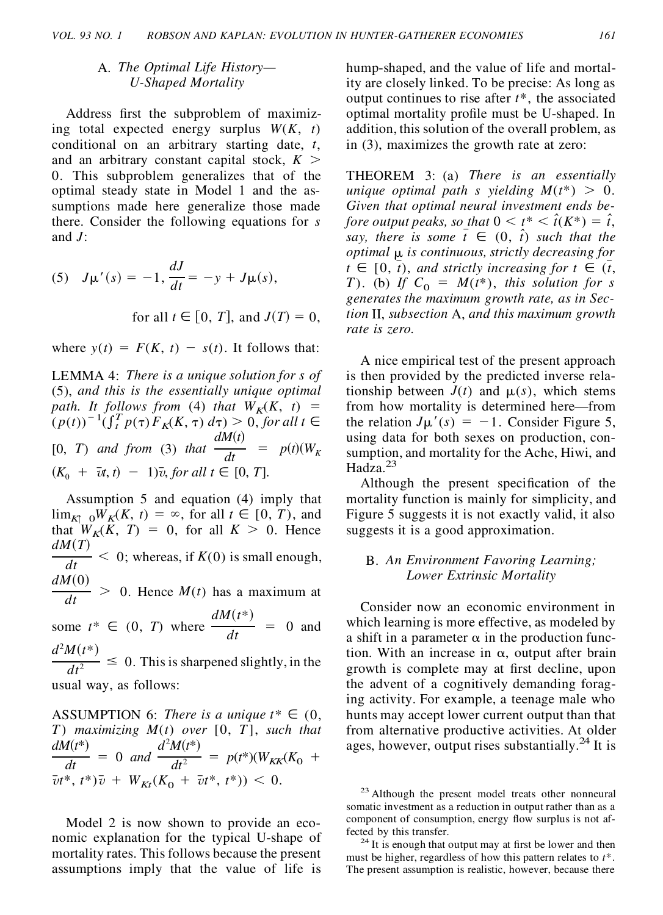Address first the subproblem of maximizing total expected energy surplus *W*(*K*, *t*) conditional on an arbitrary starting date, *t*, and an arbitrary constant capital stock,  $K$  > 0. This subproblem generalizes that of the optimal steady state in Model 1 and the assumptions made here generalize those made there. Consider the following equations for *s* and *J*:

(5) 
$$
J\mu'(s) = -1
$$
,  $\frac{dJ}{dt} = -y + J\mu(s)$ ,

for all  $t \in [0, T]$ , and  $J(T) = 0$ ,

where  $y(t) = F(K, t) - s(t)$ . It follows that:

LEMMA 4: *There is a unique solution for s of* (5), *and this is the essentially unique optimal path.* It follows from (4) that  $W_K(K, t) =$  $(p(t))^{-1}(\int_t^T p(\tau) F_K(K, \tau) d\tau) > 0$ , for all  $t \in$ [0, *T*) *and from* (3) *that*  $dM(t)$  $\frac{dV}{dt} = p(t)(W_K)$  $(K_0 + \bar{v}t, t) - 1)\bar{v}$ , *for all*  $t \in [0, T]$ .

Assumption 5 and equation (4) imply that  $\lim_{K \uparrow} 0 W_K(K, t) = \infty$ , for all  $t \in [0, T)$ , and that  $W_K(K, T) = 0$ , for all  $K > 0$ . Hence  $dM(T)$  $\frac{d}{dt}$  < 0; whereas, if *K*(0) is small enough,  $dM(0)$  $\frac{d}{dt} > 0$ . Hence *M*(*t*) has a maximum at

some  $t^* \in (0, T)$  where  $$  $dM(t^*)$  $\frac{d}{dt}$  = 0 and

 $d^2M(t^*)$  $\frac{d^{2}}{dt^{2}} \leq 0$ . This is sharpened slightly, in the

usual way, as follows:

ASSUMPTION 6: *There is a unique*  $t^* \in (0, 1)$ *T* ) *maximizing M*(*t*) *over* [0, *T* ], *such that*  $dM(t^*)$  $\frac{d\vec{a}}{dt}$  = 0 *and*  $d^2M(t^*)$  $\frac{d^{2}}{dt^{2}} = p(t^{*})(W_{KK}(K_0 +$  $\overline{v}t^*, t^*\overline{v} + W_{Kt}(K_0 + \overline{v}t^*, t^*)) < 0.$ 

Model 2 is now shown to provide an economic explanation for the typical U-shape of mortality rates. This follows because the present assumptions imply that the value of life is hump-shaped, and the value of life and mortality are closely linked. To be precise: As long as output continues to rise after *t*\*, the associated optimal mortality profile must be U-shaped. In addition, this solution of the overall problem, as in (3), maximizes the growth rate at zero:

THEOREM 3: (a) *There is an essentially unique optimal path s yielding*  $M(t^*) > 0$ . *Given that optimal neural investment ends before output peaks, so that*  $0 \le t^* \le \hat{t}(K^*) = \hat{t}$ , *say, there is some*  $\overline{t} \in (0, \hat{t})$  *such that the optimal* m *iscontinuous, strictly decreasing for*  $t \in [0, \bar{t})$ , *and strictly increasing for*  $t \in (\bar{t}, T)$ . (b) If  $C_0 = M(t^*)$ , this *solution for s <sup>T</sup>* ). (b) *If <sup>C</sup>*<sup>0</sup> <sup>5</sup> *<sup>M</sup>*(*t*\*), *this solution for <sup>s</sup> generates the maximum growth rate, as in Section* II, *subsection* A, *and this maximum growth rate is zero.*

A nice empirical test of the present approach is then provided by the predicted inverse relationship between  $J(t)$  and  $\mu(s)$ , which stems from how mortality is determined here—from the relation  $J\mu'(s) = -1$ . Consider Figure 5, using data for both sexes on production, consumption, and mortality for the Ache, Hiwi, and Hadza.<sup>23</sup>

Although the present specification of the mortality function is mainly for simplicity, and Figure 5 suggests it is not exactly valid, it also suggests it is a good approximation.

#### B. *An Environment Favoring Learning; Lower Extrinsic Mortality*

Consider now an economic environment in which learning is more effective, as modeled by a shift in a parameter  $\alpha$  in the production function. With an increase in  $\alpha$ , output after brain growth is complete may at first decline, upon the advent of a cognitively demanding foraging activity. For example, a teenage male who hunts may accept lower current output than that from alternative productive activities. At older ages, however, output rises substantially.<sup>24</sup> It is

<sup>23</sup> Although the present model treats other nonneural somatic investment as a reduction in output rather than as a component of consumption, energy flow surplus is not affected by this transfer.<br><sup>24</sup> It is enough that output may at first be lower and then

must be higher, regardless of how this pattern relates to *t*\*. The present assumption is realistic, however, because there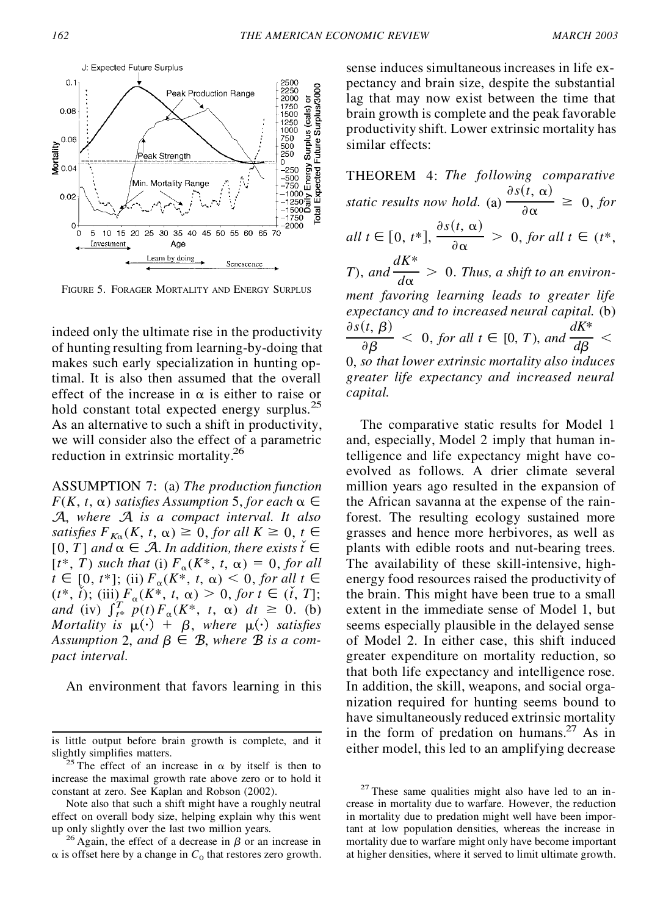

FIGURE 5. FORAGER MORTALITY AND ENERGY SURPLUS

indeed only the ultimate rise in the productivity of hunting resulting from learning-by-doing that makes such early specialization in hunting optimal. It is also then assumed that the overall effect of the increase in  $\alpha$  is either to raise or hold constant total expected energy surplus.<sup>25</sup> As an alternative to such a shift in productivity, we will consider also the effect of a parametric reduction in extrinsic mortality.<sup>26</sup>

ASSUMPTION 7: (a) *The production function*  $F(K, t, \alpha)$  *satisfies Assumption* 5, *for each*  $\alpha \in$ A, *where* A *is a compact interval. It also satisfies*  $F_{K_0}(K, t, \alpha) \geq 0$ , *for all*  $K \geq 0$ ,  $t \in$  $[0, T]$  and  $\alpha \in \mathcal{A}$ . In addition, there exists  $\check{t} \in$  $[t^*, T)$  *such that* (i)  $F_\alpha(K^*, t, \alpha) = 0$ , *for all*  $t \in [0, t^*];$  (ii)  $F_\alpha(K^*, t, \alpha) < 0$ , *for all*  $t \in$  $(t^*, \check{t})$ ; (iii)  $F_\alpha(K^*, t, \alpha) > 0$ , for  $t \in (\check{t}, T]$ ; *and* (iv)  $\int_{t^{*}}^{T} p(t) F_{\alpha}(K^{*}, t, \alpha) dt \ge 0$ . (b) *Mortality is*  $\mu(\cdot) + \beta$ , *where*  $\mu(\cdot)$  *satisfies Assumption* 2, *and*  $\beta \in \mathcal{B}$ , *where*  $\mathcal{B}$  *is a compact interval.* 

An environment that favors learning in this

 $\alpha$  is offset here by a change in  $C_0$  that restores zero growth.

sense induces simultaneous increases in life expectancy and brain size, despite the substantial lag that may now exist between the time that brain growth is complete and the peak favorable productivity shift. Lower extrinsic mortality has similar effects:

THEOREM 4: *The following comparative static results now hold.* (a)  $\frac{\partial s(t, \alpha)}{\partial x} \ge$  $\frac{\partial}{\partial \alpha} \geq 0$ , for  $all \ t \in [0, t^*], \frac{\partial s(t, \alpha)}{\partial \alpha} > 0, \text{ for all } t \in (t^*),$ *T*), and  $\frac{1}{\sqrt{2}}$ *dK*\*  $\frac{d\alpha}{d\alpha} > 0$ . *Thus, a shift to an environment favoring learning leads to greater life expectancy and to increased neural capital.* (b)  $\partial s(t, \beta)$  $\frac{\partial}{\partial \beta}$  < 0, *for all*  $t \in [0, T)$ , *and*  $\frac{d}{dt}$ *dK*\*  $\frac{d\beta}{d\beta}$  < 0, *so that lower extrinsic mortality also induces greater life expectancy and increased neural capital.*

The comparative static results for Model 1 and, especially, Model 2 imply that human intelligence and life expectancy might have coevolved as follows. A drier climate several million years ago resulted in the expansion of the African savanna at the expense of the rainforest. The resulting ecology sustained more grasses and hence more herbivores, as well as plants with edible roots and nut-bearing trees. The availability of these skill-intensive, highenergy food resources raised the productivity of the brain. This might have been true to a small extent in the immediate sense of Model 1, but seems especially plausible in the delayed sense of Model 2. In either case, this shift induced greater expenditure on mortality reduction, so that both life expectancy and intelligence rose. In addition, the skill, weapons, and social organization required for hunting seems bound to have simultaneously reduced extrinsic mortality in the form of predation on humans.<sup>27</sup> As in

is little output before brain growth is complete, and it is little route of predation on hamalistic results is led to an amplifying decrease

<sup>&</sup>lt;sup>15</sup> The effect of an increase in  $\alpha$  by itself is then to increase the maximal growth rate above zero or to hold it constant at zero. See Kaplan and Robson (2002).

Note also that such a shift might have a roughly neutral effect on overall body size, helping explain why this went up only slightly over the last two million years. <sup>26</sup> Again, the effect of a decrease in  $\beta$  or an increase in

<sup>27</sup> These same qualities might also have led to an in crease in mortality due to warfare. However, the reduction in mortality due to predation might well have been important at low population densities, whereas the increase in mortality due to warfare might only have become important at higher densities, where it served to limit ultimate growth.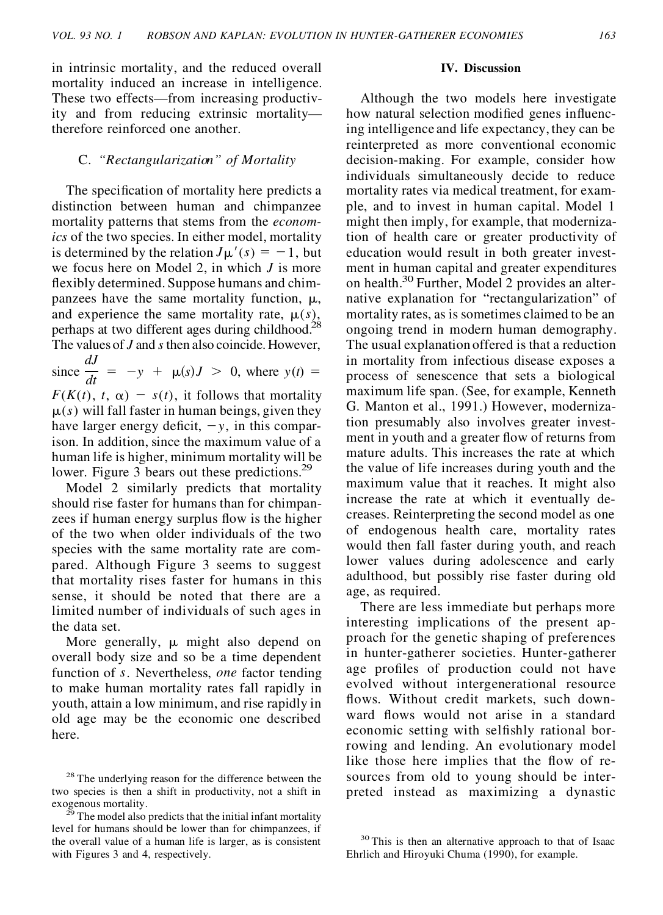in intrinsic mortality, and the reduced overall mortality induced an increase in intelligence. These two effects—from increasing productivity and from reducing extrinsic mortality therefore reinforced one another.

#### C. *"Rectangularization" of Mortality*

The specification of mortality here predicts a distinction between human and chimpanzee mortality patterns that stems from the *economics* of the two species. In either model, mortality is determined by the relation  $J\mu'(s) = -1$ , but we focus here on Model 2, in which *J* is more flexibly determined. Suppose humans and chimpanzees have the same mortality function,  $\mu$ , and experience the same mortality rate,  $\mu(s)$ , perhaps at two different ages during childhood.<sup>28</sup> The values of *J* and *s* then also coincide.However,

since  $\frac{1}{\sqrt{4}}$ *dJ*  $\frac{d\mathbf{r}}{dt}$  =  $-y$  +  $\mu(s)J$  > 0, where  $y(t)$  = pr  $F(K(t), t, \alpha) - s(t)$ , it follows that mortality  $\mu(s)$  will fall faster in human beings, given they have larger energy deficit,  $-y$ , in this comparison. In addition, since the maximum value of a human life is higher, minimum mortality will be lower. Figure 3 bears out these predictions.<sup>29</sup>

Model 2 similarly predicts that mortality should rise faster for humans than for chimpanzees if human energy surplus flow is the higher of the two when older individuals of the two species with the same mortality rate are compared. Although Figure 3 seems to suggest that mortality rises faster for humans in this sense, it should be noted that there are a limited number of individuals of such ages in the data set.

More generally,  $\mu$  might also depend on overall body size and so be a time dependent function of *s*. Nevertheless, *one* factor tending to make human mortality rates fall rapidly in youth, attain a low minimum, and rise rapidly in old age may be the economic one described here.

#### **IV. Discussion**

Although the two models here investigate how natural selection modified genes influencing intelligence and life expectancy, they can be reinterpreted as more conventional economic decision-making. For example, consider how individuals simultaneously decide to reduce mortality rates via medical treatment, for example, and to invest in human capital. Model 1 might then imply, for example, that modernization of health care or greater productivity of education would result in both greater investment in human capital and greater expenditures on health.<sup>30</sup> Further, Model 2 provides an alternative explanation for "rectangularization" of mortality rates, as is sometimes claimed to be an ongoing trend in modern human demography. The usual explanation offered is that a reduction in mortality from infectious disease exposes a process of senescence that sets a biological maximum life span. (See, for example, Kenneth G. Manton et al., 1991.) However, modernization presumably also involves greater investment in youth and a greater flow of returns from mature adults. This increases the rate at which the value of life increases during youth and the maximum value that it reaches. It might also increase the rate at which it eventually decreases. Reinterpreting the second model as one of endogenous health care, mortality rates would then fall faster during youth, and reach lower values during adolescence and early adulthood, but possibly rise faster during old age, as required.

There are less immediate but perhaps more interesting implications of the present approach for the genetic shaping of preferences in hunter-gatherer societies. Hunter-gatherer age profiles of production could not have evolved without intergenerational resource flows. Without credit markets, such downward flows would not arise in a standard economic setting with selfishly rational borrowing and lending. An evolutionary model like those here implies that the flow of resources from old to young should be interpreted instead as maximizing a dynastic

<sup>&</sup>lt;sup>28</sup> The underlying reason for the difference between the two species is then a shift in productivity, not a shift in exogenous mortality.<br><sup>29</sup> The model also predicts that the initial infant mortality

level for humans should be lower than for chimpanzees, if the overall value of a human life is larger, as is consistent with Figures 3 and 4, respectively.

<sup>&</sup>lt;sup>30</sup> This is then an alternative approach to that of Isaac Ehrlich and Hiroyuki Chuma (1990), for example.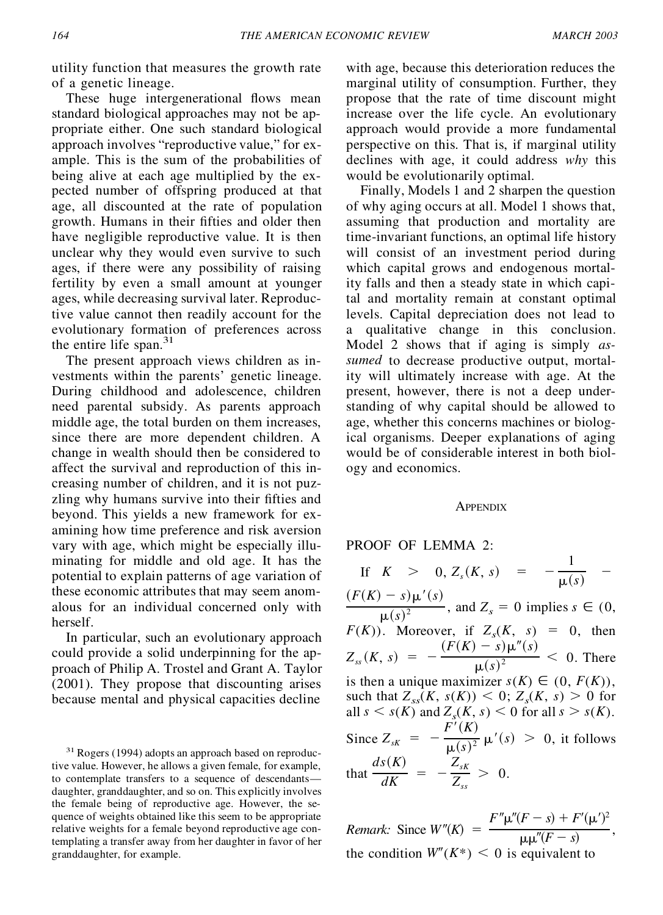utility function that measures the growth rate of a genetic lineage.

These huge intergenerational flows mean standard biological approaches may not be appropriate either. One such standard biological approach involves "reproductive value," for example. This is the sum of the probabilities of being alive at each age multiplied by the expected number of offspring produced at that age, all discounted at the rate of population growth. Humans in their fifties and older then have negligible reproductive value. It is then unclear why they would even survive to such ages, if there were any possibility of raising fertility by even a small amount at younger ages, while decreasing survival later. Reproductive value cannot then readily account for the evolutionary formation of preferences across the entire life span.<sup>31</sup>

The present approach views children as investments within the parents' genetic lineage. During childhood and adolescence, children need parental subsidy. As parents approach middle age, the total burden on them increases, since there are more dependent children. A change in wealth should then be considered to affect the survival and reproduction of this increasing number of children, and it is not puzzling why humans survive into their fifties and beyond. This yields a new framework for examining how time preference and risk aversion vary with age, which might be especially illuminating for middle and old age. It has the potential to explain patterns of age variation of these economic attributes that may seem anomalous for an individual concerned only with herself.

In particular, such an evolutionary approach could provide a solid underpinning for the approach of Philip A. Trostel and Grant A. Taylor (2001). They propose that discounting arises because mental and physical capacities decline

<sup>31</sup> Rogers (1994) adopts an approach based on reproductive value. However, he allows a given female, for example, to contemplate transfers to a sequence of descendants daughter, granddaughter, and so on. This explicitly involves the female being of reproductive age. However, the se quence of weights obtained like this seem to be appropriate relative weights for a female beyond reproductive age contemplating a transfer away from her daughter in favor of her granddaughter, for example.

with age, because this deterioration reduces the marginal utility of consumption. Further, they propose that the rate of time discount might increase over the life cycle. An evolutionary approach would provide a more fundamental perspective on this. That is, if marginal utility declines with age, it could address *why* this would be evolutionarily optimal.

Finally, Models 1 and 2 sharpen the question of why aging occurs at all. Model 1 shows that, assuming that production and mortality are time-invariant functions, an optimal life history will consist of an investment period during which capital grows and endogenous mortality falls and then a steady state in which capital and mortality remain at constant optimal levels. Capital depreciation does not lead to a qualitative change in this conclusion. Model 2 shows that if aging is simply *as sumed* to decrease productive output, mortality will ultimately increase with age. At the present, however, there is not a deep understanding of why capital should be allowed to age, whether this concerns machines or biological organisms. Deeper explanations of aging would be of considerable interest in both biology and economics.

#### **APPENDIX**

PROOF OF LEMMA 2:

If  $K > 0, Z_s(K, s) = -\frac{1}{\mu(s)}$  $\frac{\overline{\mu(s)}}{2}$  –  $(F(K) - s)\mu'(s)$  $\frac{\mu(s)^2}{\mu(s)^2}$ , and  $Z_s = 0$  implies  $s \in (0,$ *F*(*K*)). Moreover, if  $Z_s(K, s) = 0$ , then  $Z_{ss}(K, s) = -\frac{1}{s}$  $(F(K) - s) \mu''(s)$  $\frac{\mu(s)^2}{\mu(s)^2}$  < 0. There is then a unique maximizer  $s(K) \in (0, F(K)),$ such that  $Z_{ss}(K, s(K)) \leq 0$ ;  $Z_{s}(K, s) > 0$  for all  $s < s(K)$  and  $Z_s(K, s) < 0$  for all  $s > s(K)$ . Since  $Z_{sK} = -\frac{1}{\ln(s)^2}$  $F'(K)$  $\frac{1}{\mu(s)^2}$   $\mu'(s) > 0$ , it follows that  $$  $ds(K)$  $\frac{dV}{dK}$  =  $-\frac{3K}{Z_{ss}}$  > *ZsK*  $\frac{3R}{Z_{ss}} > 0.$ 

*Remark:* Since  $W''(K) =$   $\frac{1}{K}$  $F''\mu''(F-s) + F'(\mu')^2$  $\frac{1}{\mu\mu''(F-s)},$ the condition  $W''(K^*)$  < 0 is equivalent to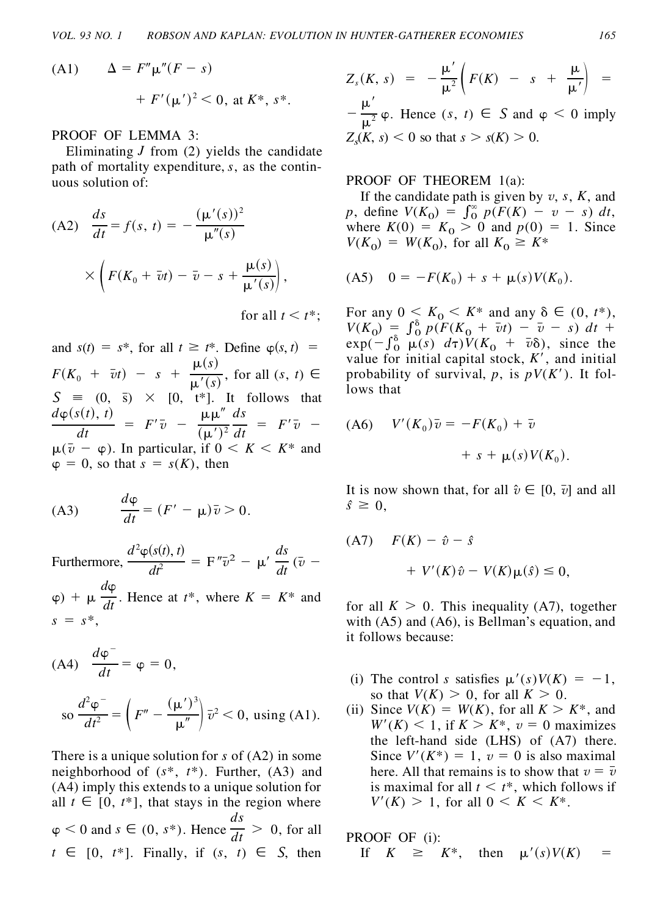(A1) 
$$
\Delta = F'' \mu''(F - s) + F'(\mu')^2 < 0, \text{ at } K^*, s^*.
$$

#### PROOF OF LEMMA 3:

Eliminating *J* from (2) yields the candidate path of mortality expenditure, *s*, as the continuous solution of:

$$
\begin{aligned} \text{(A2)} \quad & \frac{ds}{dt} = f(s, \, t) = -\frac{(\mu'(s))^2}{\mu''(s)} \\ & \times \left( F(K_0 + \bar{v}t) - \bar{v} - s + \frac{\mu(s)}{\mu'(s)} \right), \end{aligned}
$$

for all 
$$
t < t^*
$$
;

and  $s(t) = s^*$ , for all  $t \geq t^*$ . Define  $\varphi(s, t) =$  $F(K_0 + \bar{v}t) - s + \frac{1}{\mu^2(s)}$  $\mu(s)$  $\frac{1}{\mu'(s)}$ , for all  $(s, t) \in$  $S = (0, \bar{s}) \times [0, t^*]$ . It follows that  $d\varphi(s(t), t)$  $\frac{f(x,t)}{dt} = F'\overline{v} - \frac{\mu\mu''}{(\mu')^2}\frac{d}{dt}$  $\frac{\mu\mu''}{(\mu')^2}\frac{ds}{dt} = F'\bar{v}$  - (A  $\mu(\bar{v} - \varphi)$ . In particular, if  $0 \leq K \leq K^*$  and  $\varphi = 0$ , so that  $s = s(K)$ , then

$$
\text{(A3)} \qquad \frac{d\varphi}{dt} = (F' - \mu)\bar{v} > 0.
$$

Furthermore,  $d^2\varphi(s(t), t)$  $\frac{(s(t), t)}{dt^2} = F''\bar{v}^2 - \mu' \frac{ds}{dt} (\bar{v} -$ 

 $(\varphi)$  +  $\mu \frac{1}{\mu}$ .  $d\varphi$ <sub>r</sub>  $\frac{1}{dt}$ . Hence at  $t^*$ , where  $K = K^*$  and  $s = s^*$ .

(A4) 
$$
\frac{d\varphi^-}{dt} = \varphi = 0,
$$
  
so 
$$
\frac{d^2\varphi^-}{dt^2} = \left(F'' - \frac{(\mu')^3}{\mu''}\right)\overline{v}^2 < 0, \text{ using (A1)}.
$$

There is a unique solution for *s* of (A2) in some neighborhood of (*s*\*, *t*\*). Further, (A3) and  $(A4)$  imply this extends to a unique solution for all  $t \in [0, t^*]$ , that stays in the region where  $\varphi$  < 0 and  $s \in (0, s^*)$ . Hence  $\frac{ds}{dt} > 0$ , for all  $t \in [0, t^*]$ . Finally, if  $(s, t) \in S$ , then

$$
Z_s(K, s) = -\frac{\mu'}{\mu^2} \left( F(K) - s + \frac{\mu}{\mu'} \right) =
$$
  

$$
-\frac{\mu'}{\mu^2} \varphi.
$$
 Hence  $(s, t) \in S$  and  $\varphi < 0$  imply  

$$
Z_s(K, s) < 0
$$
 so that  $s > s(K) > 0$ .

#### PROOF OF THEOREM 1(a):

If the candidate path is given by  $v$ ,  $s$ ,  $K$ , and *p*, define  $V(K_0) = \int_0^\infty p(F(K) - v - s) dt$ , where  $K(0) = K_0 > 0$  and  $p(0) = 1$ . Since  $V(K_0) = W(K_0)$ , for all  $K_0 \geq K^*$ 

(A5) 
$$
0 = -F(K_0) + s + \mu(s)V(K_0).
$$

For any  $0 \le K_0 \le K^*$  and any  $\delta \in (0, t^*)$ ,  $V(K_0) = \int_0^{\delta} p(F(K_0 + \bar{v}t) - \bar{v} - s) dt +$  $\exp(-\int_0^{\delta} \mu(s) \, d\tau) V(K_0 + \bar{v}\delta)$ , since the value for initial capital stock,  $K'$ , and initial probability of survival,  $p$ , is  $pV(K')$ . It follows that

$$
\begin{aligned} \text{(A6)} \quad V'(K_0)\overline{v} &= -F(K_0) + \overline{v} \\ &+ s + \mu(s)V(K_0). \end{aligned}
$$

It is now shown that, for all  $\hat{v} \in [0, \bar{v}]$  and all  $\hat{s} \geq 0$ .

$$
\begin{aligned} \text{(A7)} \quad &F(K) - \hat{v} - \hat{s} \\ &+ V'(K)\hat{v} - V(K)\mu(\hat{s}) \le 0, \end{aligned}
$$

for all  $K > 0$ . This inequality (A7), together with (A5) and (A6), is Bellman's equation, and it follows because:

- (i) The control *s* satisfies  $\mu'(s)V(K) = -1$ , so that  $V(K) > 0$ , for all  $K > 0$ .
- (ii) Since  $V(K) = W(K)$ , for all  $K > K^*$ , and  $W'(K)$  < 1, if  $K > K^*$ ,  $v = 0$  maximizes the left-hand side (LHS) of (A7) there. Since  $V'(K^*) = 1$ ,  $v = 0$  is also maximal here. All that remains is to show that  $v = \overline{v}$ is maximal for all  $t < t^*$ , which follows if  $V'(K) > 1$ , for all  $0 \leq K \leq K^*$ .

PROOF OF (i): If  $K \geq K^*$ , then  $\mu'(s)V(K) =$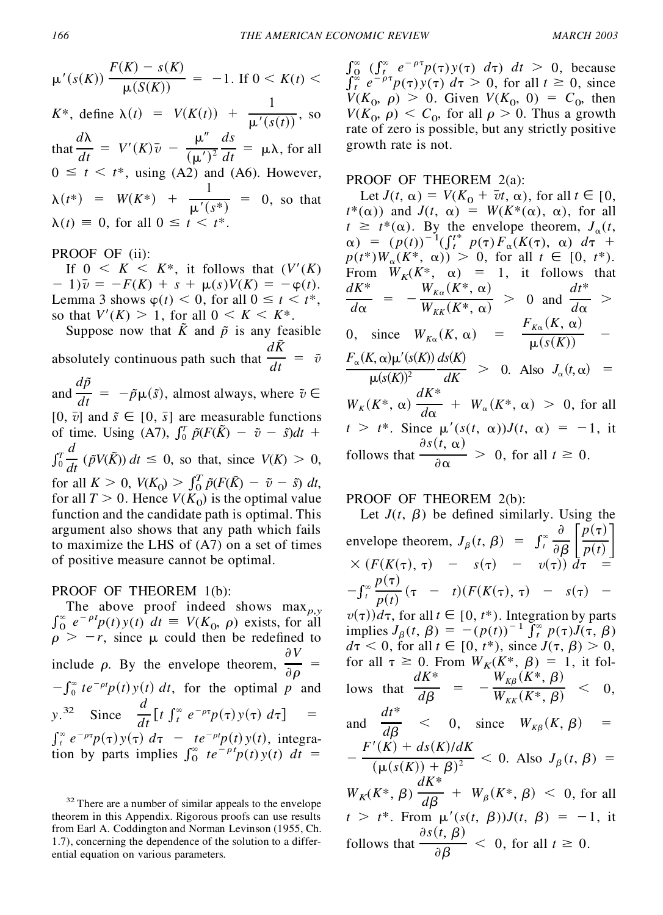m9~*s*~*K*!! *F*~*K*! 2 *s*~*K*! <sup>m</sup>~*S*~*K*!! <sup>5</sup> <sup>2</sup>1. If <sup>0</sup> , *<sup>K</sup>*(*t*) , *K*\*, de ne l~*t*! 5 *V*~*K*~*t*!! 1 1 <sup>m</sup>9~*s*~*t*!! , so that *d*l *dt* <sup>5</sup> *<sup>V</sup>*9~*K*!*v*# <sup>2</sup> m0 ~m9!<sup>2</sup> *dsdt* <sup>5</sup> ml, for all 0 # *t* , *t*\*, using (A2) and (A6). However, l~*t*\*! 5 *W*~*K*\*! 1 1 <sup>m</sup>9~*s*\*! <sup>5</sup> 0, so that l(*t*) [ 0, for all 0 # *t* , *t*\*.

#### PROOF OF (ii):

If  $0 \leq K \leq K^*$ , it follows that  $(V'(K))$  $(-1)\bar{v} = -F(K) + s + \mu(s)V(K) = -\varphi(t).$ Lemma 3 shows  $\varphi(t) < 0$ , for all  $0 \le t < t^*$ , so that  $V'(K) > 1$ , for all  $0 \leq K \leq K^*$ .

Suppose now that  $\tilde{K}$  and  $\tilde{p}$  is any feasible absolutely continuous path such that  $\frac{1}{2}$  $d\tilde{K}$  $\overline{dt}$  =  $\tilde{v}$ and  $\frac{1}{\sqrt{1}}$ *dp˜*  $\frac{d}{dt} = -\tilde{p}\mu(\tilde{s})$ , almost always, where  $\tilde{v} \in$  $[0, \overline{v}]$  and  $\overline{s} \in [0, \overline{s}]$  are measurable functions of time. Using (A7),  $\int_0^T \tilde{p}(F(\tilde{K}) - \tilde{v} - \tilde{s})dt$  +  $\int_0^T \frac{d}{dt}$  ( $\tilde{p}V(\tilde{K})$ )  $dt \le 0$ , so that, since  $V(K) > 0$ , for all  $K > 0$ ,  $V(K_0) > \int_0^T \tilde{p}(F(\tilde{K}) - \tilde{v} - \tilde{s}) dt$ , for all  $T > 0$ . Hence  $V(K_0)$  is the optimal value function and the candidate path is optimal. This argument also shows that any path which fails to maximize the LHS of (A7) on a set of times of positive measure cannot be optimal.

#### PROOF OF THEOREM 1(b):

The above proof indeed shows max*p*,*y*  $\int_{0}^{\infty} e^{-\rho t} p(t) y(t) dt \equiv V(K_0, \rho)$  exists, for all  $\rho > -r$ , since  $\mu$  could then be redefined to include  $\rho$ . By the envelope theorem,  $\frac{1}{\sqrt{2}}$  $\partial V$  $\frac{\partial}{\partial \rho}$  = to  $-\int_0^\infty t e^{-pt} p(t) y(t) dt$ , for the optimal *p* and *y*.<sup>32</sup> Since  $\frac{d}{dt} [t \int_t^{\infty} e^{-\rho \tau} p(\tau) y(\tau) d\tau] = a$  $t_t^{\infty} e^{-\rho \tau} p(\tau) y(\tau) d\tau - t e^{-\rho t} p(t) y(t)$ , integration by parts implies  $\int_0^\infty t e^{-\rho t} p(t) y(t) dt =$ 

<sup>32</sup> There are a number of similar appeals to the envelope theorem in this Appendix. Rigorous proofs can use results from Earl A. Coddington and Norman Levinson (1955, Ch. 1.7), concerning the dependence of the solution to a differential equation on various parameters.

 $\int_{0}^{\infty} (\int_{t_{\alpha}}^{\infty} e^{-\rho \tau} p(\tau) y(\tau) d\tau) dt > 0$ , because  $\int_{t}^{\infty} e^{-\rho \tau} p(\tau) y(\tau) d\tau > 0$ , for all  $t \ge 0$ , since  $V(K_0, \rho) > 0$ . Given  $V(K_0, 0) = C_0$ , then  $V(K_0, \rho) \leq C_0$ , for all  $\rho > 0$ . Thus a growth rate of zero is possible, but any strictly positive growth rate is not.

#### PROOF OF THEOREM 2(a):

Let  $J(t, \alpha) = V(K_0 + \overline{v}t, \alpha)$ , for all  $t \in [0,$  $t^*(\alpha)$  and  $J(t, \alpha) = W(K^*(\alpha), \alpha)$ , for all  $t \ge t^*(\alpha)$ . By the envelope theorem,  $J_\alpha(t, \alpha) = (p(t))^{-1} (\int_t^{t^*} p(\tau) F_\alpha(K(\tau), \alpha) d\tau +$  $p(t^*)W_\alpha(K^*, \alpha)) > 0$ , for all  $t \in [0, t^*)$ . From  $W_K(K^*, \alpha) = 1$ , it follows that *dK*\*  $\overline{d\alpha}$  =  $-\frac{R\alpha}{W_{KK}}$  $W_{K\alpha}(K^*, \alpha)$  $\frac{K}{W_{KK}(K^*, \alpha)}$  > 0 and  $\frac{K}{d\alpha}$ *dt*\*  $\overline{d\alpha}$  > 0, since  $W_{K\alpha}(K, \alpha) = \frac{F_{K\alpha}(K, \alpha)}{\mu(\alpha(K))}$  $\frac{K}{\mu(s(K))}$  –  $F_\alpha(K, \alpha) \mu'(s(K)) ds$  $\mu(s(K))^2$  $ds(K)$  $\frac{dV}{dK}$  > 0. Also  $J_{\alpha}(t, \alpha)$  =  $W_K(K^*, \alpha)$  – *dK*\*  $\frac{d\alpha}{d\alpha}$  +  $W_{\alpha}(K^*, \alpha) > 0$ , for all  $t > t^*$ . Since  $\mu'(s(t, \alpha))J(t, \alpha) = -1$ , it follows that  $\frac{\partial s(t, \alpha)}{\partial s(t)}$  $\frac{\partial}{\partial \alpha}$  > 0, for all  $t \ge 0$ .

#### PROOF OF THEOREM 2(b):

Let  $J(t, \beta)$  be defined similarly. Using the envelope theorem,  $J_\beta(t, \beta) = \int_t^\infty \frac{\partial}{\partial \beta} \left[ \frac{p(t)}{p(t)} \right] dt$  $p(\tau)$  $p(t)$  $\times (F(K(\tau), \tau)$  –  $s(\tau)$  –  $v(\tau)) d\tau$  $-f_i^{\infty} \frac{p(\tau)}{p(t)} (\tau - t) (F(K(\tau), \tau) - s(\tau) - t)$  $v(\tau)$ ) $d\tau$ , for all  $t \in [0, t^*)$ . Integration by parts implies  $J_\beta(t, \beta) = -(p(t))^{-1} \int_t^\infty p(\tau) J(\tau, \beta)$  $d\tau$  < 0, for all  $t \in [0, t^*)$ , since  $J(\tau, \beta) > 0$ , for all  $\tau \geq 0$ . From  $W_K(K^*, \beta) = 1$ , it follows that *dK*\*  $\frac{d\beta}{d\beta}$  =  $-\frac{R\beta}{W_{KK}}$  $W_{K\beta}(K^*, \beta)$  $\frac{W_{KK}(K^*, \beta)}{W_{KK}(K^*, \beta)}$  < 0, and  $\overline{z}$ *dt*\*  $\frac{d\mathbf{B}}{d\mathbf{B}}$  < 0, since  $W_{\kappa\beta}(K,\mathbf{\beta})$  =  $-\frac{1}{\sqrt{2}}$  $F'(K) + ds(K)/dK$  $\frac{K}{(\mu(s(K)) + \beta)^2}$  < 0. Also  $J_\beta(t, \beta)$  =  $W_K(K^*, \beta)$  – *dK*\*  $\frac{d\mathbf{B}}{d\mathbf{B}}$  +  $W_{\beta}(K^*, \beta)$  < 0, for all  $t > t^*$ . From  $\mu'(s(t, \beta))J(t, \beta) = -1$ , it follows that  $\frac{\partial s(t, \beta)}{\partial \beta}$  $\frac{\partial}{\partial \beta}$  < 0, for all  $t \ge 0$ .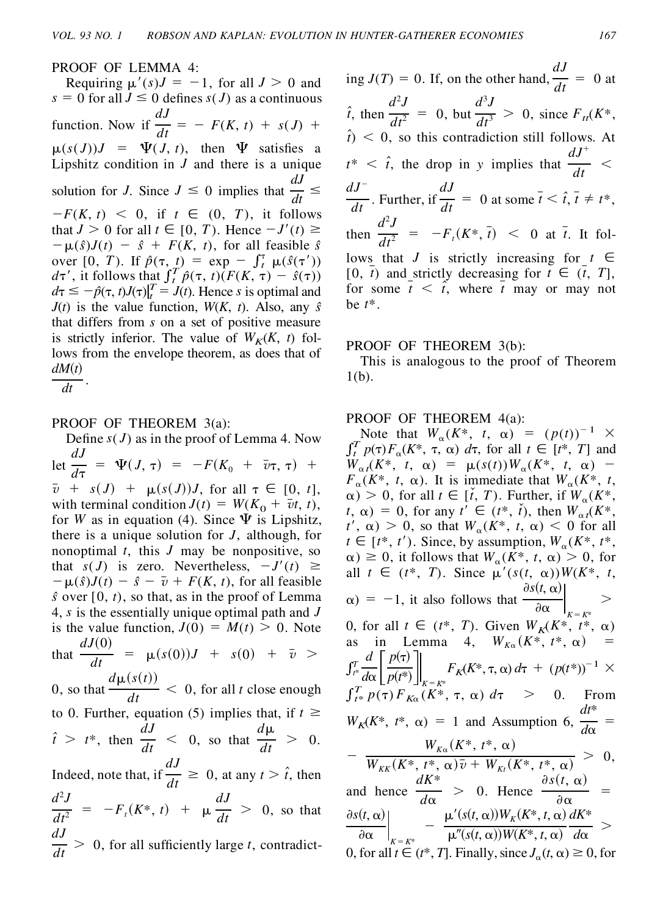#### PROOF OF LEMMA 4:

Requiring  $\mu'(s)J = -1$ , for all  $J > 0$  and  $s = 0$  for all  $J \le 0$  defines  $s(J)$  as a continuous function. Now if  $\frac{1}{\sqrt{2}}$ *dJ*  $\frac{d}{dt} = - F(K, t) + s(J) + \hat{i}$  $\mu(s(J))J = \Psi(J, t)$ , then  $\Psi$  satisfies a Lipshitz condition in  $J$  and there is a unique solution for *J*. Since  $J \leq 0$  implies that  $\frac{1}{2}$ *dJ*  $\frac{d}{dt} \leq \frac{d}{dt}$  $-F(K, t)$  < 0, if  $t \in (0, T)$ , it follows that  $J > 0$  for all  $t \in [0, T)$ . Hence  $-J'(t) \ge$  $-\mu(\hat{s})J(t) - \hat{s} + F(K, t)$ , for all feasible  $\hat{s}$ over [0, *T*). If  $\hat{p}(\tau, t) = \exp(-\int_{t}^{\tau} \mu(\hat{s}(\tau')))$ *d*<sub> $\tau$ </sub><sup>*'*</sup>, it follows that  $\int_t^T \hat{p}(\tau, t) (F(K, \tau) - \hat{s}(\tau))$  $d\tau \le -\hat{p}(\tau, t)J(\tau)\big|_t^T = J(t)$ . Hence *s* is optimal and *J*(*t*) is the value function, *W*(*K*, *t*). Also, any  $\hat{s}$ that differs from *s* on a set of positive measure is strictly inferior. The value of  $W_K(K, t)$  follows from the envelope theorem, as does that of  $dM(t)$  $\frac{d}{dt}$ .

$$
dt
$$

PROOF OF THEOREM 3(a):

Define  $s(J)$  as in the proof of Lemma 4. Now *dJ*

let  $\overline{z}$  $\frac{1}{d\tau} = \Psi(J, \tau) = -F(K_0 + \bar{v}\tau, \tau) + W_0$  $\bar{v}$  + *s*(*J*) +  $\mu(s(J))J$ , for all  $\tau \in [0, t]$ , with terminal condition  $J(t) = W(K_0 + \overline{v}t, t),$ for *W* as in equation (4). Since  $\Psi$  is Lipshitz, there is a unique solution for *J*, although, for nonoptimal  $t$ , this  $J$  may be nonpositive, so that  $s(J)$  is zero. Nevertheless,  $-J'(t) \geq$  $-\mu(\hat{s})J(t) - \hat{s} - \bar{v} + F(K, t)$ , for all feasible  $\hat{s}$  over [0, *t*), so that, as in the proof of Lemma 4, *s* is the essentially unique optimal path and *J* is the value function,  $J(0) = M(t) > 0$ . Note  $dJ(0)$ 

that - $\frac{dy}{dt} = \mu(s(0))J + s(0) + \bar{v} >$ 

0, so that  $\frac{d\mu(s(t))}{dt}$  <  $\frac{d}{dt}$  < 0, for all *t* close enough to 0. Further, equation (5) implies that, if  $t \ge$  $\hat{t} > t^*$ , then  $\frac{dJ}{dt}$  $\frac{dJ}{dt}$  < 0, so that  $\frac{d\mu}{dt}$  >  $\frac{r}{dt}$  > 0. Indeed, note that, if  $\frac{1}{\sqrt{2}}$ *dJ*  $\frac{d\vec{t}}{dt} \geq 0$ , at any  $t > \hat{t}$ , then  $d^2J$  $\frac{d}{dt^2}$  =  $-F_t(K^*, t)$  +  $\mu \frac{d}{dt}$ *dJ*  $\frac{d}{dt} > 0$ , so that *dJ*  $\frac{d\mathbf{x}}{dt}$  > 0, for all sufficiently large *t*, contradict-

ing  $J(T) = 0$ . If, on the other hand,  $\frac{1}{d}$ *dJ*  $\frac{d}{dt}$  = 0 at  $\hat{t}$ , then  $\frac{d^2J}{dt^2}$  =  $\frac{d^{2}}{dt^{2}} = 0$ , but  $\frac{d}{dt}$  $d^3J$  $\frac{d^{3}}{dt^{3}} > 0$ , since  $F_{tt}(K^*,$  $\hat{t}$ ) < 0, so this contradiction still follows. At  $t^* < \hat{t}$ , the drop in *y* implies that  $\frac{dJ^+}{dt} <$  $\frac{d}{dt}$  <  $dJ^2$ <sub>2</sub>  $\overline{dt}$ . Further, if  $\overline{di}$  $\frac{dJ}{dt} = 0$  at some  $\bar{t} < \hat{t}, \bar{t} \neq t^*$ , then  $\frac{1}{\sqrt{1+i}}$  $\frac{d^2J}{dt^2} = -F_t(K^*, \bar{t}) < 0$  at  $\bar{t}$ . It follows that *J* is strictly increasing for  $t \in$  $[0, \overline{t})$  and strictly decreasing for  $t \in (\overline{t}, T]$ , for some  $t < \hat{t}$ , where *t* may or may not be *t*\*.

PROOF OF THEOREM 3(b):

This is analogous to the proof of Theorem 1(b).

PROOF OF THEOREM 4(a):

Note that  $W_\alpha(K^*, t, \alpha) = (p(t))^{-1} \times$  $T_t^T p(\tau) F_\alpha(K^*, \tau, \alpha) d\tau$ , for all  $t \in [t^*, T]$  and  $W_{\alpha t}(K^*, t, \alpha) = \mu(s(t))W_{\alpha}(K^*, t, \alpha)$  -<br> $F_{\alpha}(K^*, t, \alpha)$ . It is immediate that  $W_{\alpha}(K^*, t, \alpha)$  $f(x) > 0$ , for all  $t \in [\check{t}, T)$ . Further, if  $W_{\alpha}(K^*)$ ,  $t, \alpha$ ) = 0, for any  $t' \in (t^*, \check{t})$ , then  $W_{\alpha t}(K^*)$ ,  $t'$ ,  $\alpha$ ) > 0, so that  $W_{\alpha}(K^*, t, \alpha)$  < 0 for all  $t \in [t^*, t']$ . Since, by assumption,  $W_\alpha(K^*, t^*, t')$  $\alpha$ )  $\geq$  0, it follows that  $W_{\alpha}(K^*, t, \alpha) > 0$ , for all  $t \in (t^*, T)$ . Since  $\mu'(s(t, \alpha))W(K^*, t,$  $\alpha$ ) = -1, it also follows that - $\partial s(t, \alpha)$  $\left.\frac{\partial}{\partial \alpha}\right|_{K=K^*} >$ 0, for all  $t \in (t^*, T)$ . Given  $W_K(K^*, t^*, \alpha)$ as in Lemma 4,  $W_{K\alpha}(K^*, t^*, \alpha)$  =  $T_{t^*}$  *d*<sub> $\alpha$ </sub>  $\left[ \frac{p(\tau)}{p(t)} \right]$  $\left. \frac{p(\tau)}{p(t^*)} \right] \Bigg|_{K=K^*} F_K(K^*, \tau, \alpha) d\tau \; + \; (p(t^*))^{-1} \; \times \nonumber$  $T_{t^*}^T p(\tau) F_{K\alpha}(K^*, \tau, \alpha) d\tau$  > 0. From  $W_K(K^*, t^*, \alpha) = 1$  and Assumption 6, *dt*\*  $\overline{d\alpha}$  =  $-\frac{W_{K_{\alpha}}(K^*, t^*, \alpha)}{W_{K_{\alpha}}(K^*, t^*, \alpha) - W_{K_{\alpha}}(K^*, t^*, \alpha)}$  $\frac{K_{\alpha}(\sqrt{K^{*}}, t^{*}, \alpha) \bar{v} + W_{Kt}(K^{*}, t^{*}, \alpha)}{W_{KK}(K^{*}, t^{*}, \alpha)} > 0,$ and hence  $\overline{\phantom{a}}$ *dK*\*  $\frac{d\alpha}{d\alpha}$  > 0. Hence –  $\partial s(t, \alpha)$  $\frac{\partial}{\partial \alpha}$  =  $\partial s(t, \alpha)$  $\left. \frac{\partial \alpha}{\partial \alpha} \right|_{K=K^*}$  -  $\frac{\mu''(s)}{\mu''(s)}$  $\mu'(s(t, \alpha))W_K(K^*, t, \alpha)$  dl  $\mu''(s(t, \alpha))W(K^*, t, \alpha)$  *d dK*\*  $\frac{d\alpha}{d\alpha}$  > 0, for all  $t \in (t^*, T]$ . Finally, since  $J_\alpha(t, \alpha) \ge 0$ , for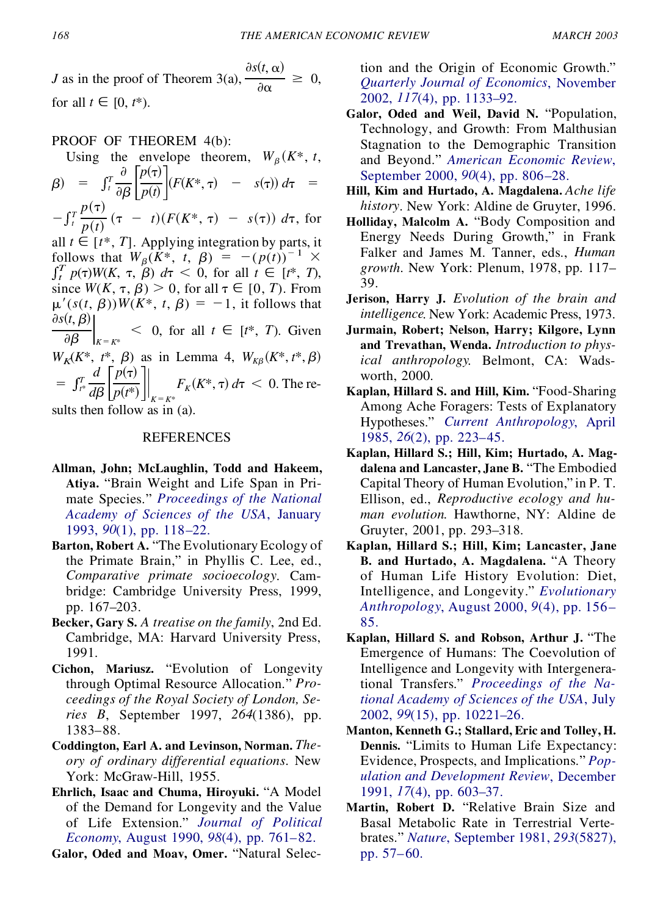*J* as in the proof of Theorem 3(a),  $\frac{\partial s(t, \alpha)}{\partial \alpha} \ge$  $\frac{\partial}{\partial \alpha} \geq 0,$ for all  $t \in [0, t^*).$ 

PROOF OF THEOREM 4(b): Using the envelope theorem,  $W_\beta(K^*, t,$  $\beta$  =  $\int_t^T \frac{\partial}{\partial \beta} \left[ \frac{p(\tau)}{p(t)} \right]$  $p(\tau)$  $\frac{F(t)}{p(t)}$   $(F(K^*, \tau) - s(\tau)) d\tau =$  **H**  $-f_t^T \frac{p(\tau)}{p(t)} (\tau - t) (F(K^*, \tau) - s(\tau)) d\tau$ , for all  $t \in [t^*, T]$ . Applying integration by parts, it follows that  $W_\beta(K^*, t, \beta) = -(p(t))^{-1} \times$  $\int_t^T p(\tau)W(K, \tau, \beta) d\tau < 0$ , for all  $t \in [t^*, T)$ , since  $W(K, \tau, \beta) > 0$ , for all  $\tau \in [0, T)$ . From  $\mu'(s(t, \beta))W(K^*, t, \beta) = -1$ , it follows that  $\partial s(t, \beta)$ |  $\frac{\partial f}{\partial \beta}|_{K=K^*}$  < 0, for all  $t \in [t^*, T)$ . Given  $W_K(K^*, t^*, \beta)$  as in Lemma 4,  $W_{K\beta}(K^*, t^*, \beta)$  $= \int_{t^*}^T \frac{d}{d\beta} \left[ \frac{p(\tau)}{p(t^*)} \right]$  $p(\tau)$ ]  $\left. \frac{F(x)}{p(t^*)} \right|_{K=K^*} F_K(K^*, \tau) d\tau \leq 0.$  The results then follow as in (a).

#### REFERENCES

- **Allman, John; McLaughlin, Todd and Hakeem, Atiya.** "Brain Weight and Life Span in Primate Species." *[Proceedings](http://ninetta.ingentaselect.com/nw=1/rpsv/cgi-bin/linker?ext=a&reqidx=/0027-8424^28199301^2990:1L.118[aid=4751078]) of the National [Academy](http://ninetta.ingentaselect.com/nw=1/rpsv/cgi-bin/linker?ext=a&reqidx=/0027-8424^28199301^2990:1L.118[aid=4751078]) of Sciences of the USA*, January 1993, *90*(1), pp. [118–22.](http://ninetta.ingentaselect.com/nw=1/rpsv/cgi-bin/linker?ext=a&reqidx=/0027-8424^28199301^2990:1L.118[aid=4751078])
- **Barton, Robert A. "The Evolutionary Ecology of** the Primate Brain," in Phyllis C. Lee, ed., *Comparative primate socioecology*. Cambridge: Cambridge University Press, 1999, pp. 167–203.
- **Becker, Gary S.** *A treatise on the family*, 2nd Ed. Cambridge, MA: Harvard University Press, 1991.
- **Cichon, Mariusz.** "Evolution of Longevity through Optimal Resource Allocation." *Proceedings of the Royal Society of London, Series B*, September 1997, *264*(1386), pp. 1383–88.
- **Coddington, Earl A. and Levinson, Norman.** *Theory of ordinary differential equations*. New York: McGraw-Hill, 1955.
- **Ehrlich, Isaac and Chuma, Hiroyuki.** "A Model of the Demand for Longevity and the Value of Life Extension." *Journal of [Political](http://ninetta.ingentaselect.com/nw=1/rpsv/cgi-bin/linker?ext=a&reqidx=/0022-3808^28199008^2998:4L.761[aid=3923553]) [Economy](http://ninetta.ingentaselect.com/nw=1/rpsv/cgi-bin/linker?ext=a&reqidx=/0022-3808^28199008^2998:4L.761[aid=3923553])*, August 1990, *98*(4), pp. 761–82.

**Galor, Oded and Moav, Omer.** "Natural Selec-

tion and the Origin of Economic Growth." *Quarterly Journal of [Economics](http://ninetta.ingentaselect.com/nw=1/rpsv/cgi-bin/linker?ext=a&reqidx=/0033-5533^28200211^29117:4L.1133[aid=3877004])*, November 2002, *117*(4), pp. [1133–92.](http://ninetta.ingentaselect.com/nw=1/rpsv/cgi-bin/linker?ext=a&reqidx=/0033-5533^28200211^29117:4L.1133[aid=3877004])

- **Galor, Oded and Weil, David N.** "Population, Technology, and Growth: From Malthusian Stagnation to the Demographic Transition and Beyond." *American [Economic](http://ninetta.ingentaselect.com/nw=1/rpsv/cgi-bin/linker?ext=a&reqidx=/0002-8282^28200009^2990:4L.806[aid=1625129]) Review*, [September](http://ninetta.ingentaselect.com/nw=1/rpsv/cgi-bin/linker?ext=a&reqidx=/0002-8282^28200009^2990:4L.806[aid=1625129]) 2000, *90*(4), pp. 806–28.
- **Hill, Kim and Hurtado, A. Magdalena.** *Ache life history*. New York: Aldine de Gruyter, 1996.
- **Holliday, Malcolm A.** "Body Composition and Energy Needs During Growth," in Frank Falker and James M. Tanner, eds., *Human growth*. New York: Plenum, 1978, pp. 117– 39.
- **Jerison, Harry J.** *Evolution of the brain and intelligence*. New York: Academic Press, 1973.
- **Jurmain, Robert; Nelson, Harry; Kilgore, Lynn and Trevathan, Wenda.** *Introduction to physical anthropology*. Belmont, CA: Wadsworth, 2000.
- **Kaplan, Hillard S. and Hill, Kim.** "Food-Sharing Among Ache Foragers: Tests of Explanatory Hypotheses." *Current [Anthropology](http://ninetta.ingentaselect.com/nw=1/rpsv/cgi-bin/linker?ext=a&reqidx=/0011-3204^28198504^2926:2L.223[aid=4261890])*, April 1985, *26*(2), pp. [223–45.](http://ninetta.ingentaselect.com/nw=1/rpsv/cgi-bin/linker?ext=a&reqidx=/0011-3204^28198504^2926:2L.223[aid=4261890])
- **Kaplan, Hillard S.; Hill, Kim; Hurtado, A. Magdalena and Lancaster, Jane B.** "The Embodied Capital Theory of Human Evolution," in P. T. Ellison, ed., *Reproductive ecology and hu man evolution*. Hawthorne, NY: Aldine de Gruyter, 2001, pp. 293–318.
- **Kaplan, Hillard S.; Hill, Kim; Lancaster, Jane B. and Hurtado, A. Magdalena.** "A Theory of Human Life History Evolution: Diet, Intelligence, and Longevity." *[Evolutionary](http://ninetta.ingentaselect.com/nw=1/rpsv/cgi-bin/linker?ext=a&reqidx=/1060-1538^28200008^299:4L.156[aid=3577020]) [Anthropology](http://ninetta.ingentaselect.com/nw=1/rpsv/cgi-bin/linker?ext=a&reqidx=/1060-1538^28200008^299:4L.156[aid=3577020])*, August 2000, *9*(4), pp. 156– [85.](http://ninetta.ingentaselect.com/nw=1/rpsv/cgi-bin/linker?ext=a&reqidx=/1060-1538^28200008^299:4L.156[aid=3577020])
- **Kaplan, Hillard S. and Robson, Arthur J.** "The Emergence of Humans: The Coevolution of Intelligence and Longevity with Intergenerational Transfers." *[Proceedings](http://ninetta.ingentaselect.com/nw=1/rpsv/cgi-bin/linker?ext=a&reqidx=/0027-8424^28200207^2999:15L.10221[aid=4751080]) of the National [Academy](http://ninetta.ingentaselect.com/nw=1/rpsv/cgi-bin/linker?ext=a&reqidx=/0027-8424^28200207^2999:15L.10221[aid=4751080]) of Sciences of the USA*, July 2002, *99*(15), pp. [10221–26.](http://ninetta.ingentaselect.com/nw=1/rpsv/cgi-bin/linker?ext=a&reqidx=/0027-8424^28200207^2999:15L.10221[aid=4751080])
- **Manton, Kenneth G.; Stallard, Eric and Tolley, H. Dennis.** "Limits to Human Life Expectancy: Evidence, Prospects, and Implications." *[Pop](http://ninetta.ingentaselect.com/nw=1/rpsv/cgi-bin/linker?ext=a&reqidx=/0098-7921^28199112^2917:4L.603[aid=65506])ulation and [Development](http://ninetta.ingentaselect.com/nw=1/rpsv/cgi-bin/linker?ext=a&reqidx=/0098-7921^28199112^2917:4L.603[aid=65506]) Review*, December 1991, *17*(4), pp. [603–37.](http://ninetta.ingentaselect.com/nw=1/rpsv/cgi-bin/linker?ext=a&reqidx=/0098-7921^28199112^2917:4L.603[aid=65506])
- **Martin, Robert D.** "Relative Brain Size and Basal Metabolic Rate in Terrestrial Vertebrates." *Nature*, [September](http://ninetta.ingentaselect.com/nw=1/rpsv/cgi-bin/linker?ext=a&reqidx=/0028-0836^28198109^29293:5827L.57[aid=4751081]) 1981, *293*(5827), pp. [57–60.](http://ninetta.ingentaselect.com/nw=1/rpsv/cgi-bin/linker?ext=a&reqidx=/0028-0836^28198109^29293:5827L.57[aid=4751081])